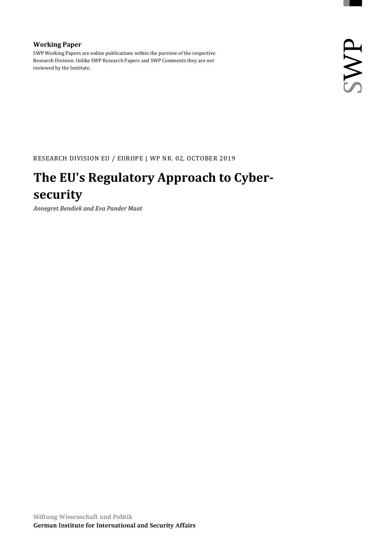#### **Working Paper**

SWP Working Papers are online publications within the purview of the respective Research Division. Unlike SWP Research Papers and SWP Comments they are not reviewed by the Institute.

RESEARCH DIVISION EU / EUROPE | WP NR. 02, OCTOBER 2019

### **The EU's Regulatory Approach to Cybersecurity**

*Annegret Bendiek and Eva Pander Maat*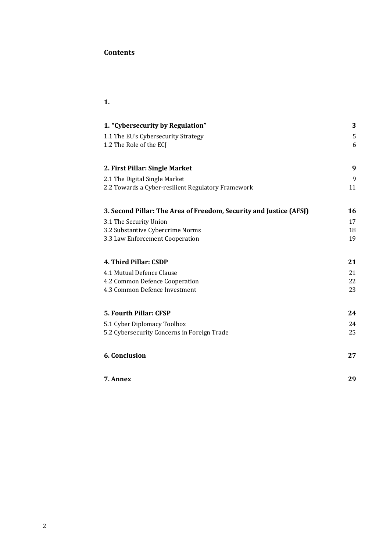#### **Contents**

#### **1.**

| 1. "Cybersecurity by Regulation"                                   | 3  |
|--------------------------------------------------------------------|----|
| 1.1 The EU's Cybersecurity Strategy                                | 5  |
| 1.2 The Role of the ECJ                                            | 6  |
|                                                                    |    |
| 2. First Pillar: Single Market                                     | 9  |
| 2.1 The Digital Single Market                                      | 9  |
| 2.2 Towards a Cyber-resilient Regulatory Framework                 | 11 |
| 3. Second Pillar: The Area of Freedom, Security and Justice (AFSJ) | 16 |
| 3.1 The Security Union                                             | 17 |
| 3.2 Substantive Cybercrime Norms                                   | 18 |
| 3.3 Law Enforcement Cooperation                                    | 19 |
| 4. Third Pillar: CSDP                                              | 21 |
| 4.1 Mutual Defence Clause                                          | 21 |
| 4.2 Common Defence Cooperation                                     | 22 |
| 4.3 Common Defence Investment                                      | 23 |
| <b>5. Fourth Pillar: CFSP</b>                                      | 24 |
| 5.1 Cyber Diplomacy Toolbox                                        | 24 |
| 5.2 Cybersecurity Concerns in Foreign Trade                        | 25 |
|                                                                    |    |
| 6. Conclusion                                                      | 27 |
| 7. Annex                                                           | 29 |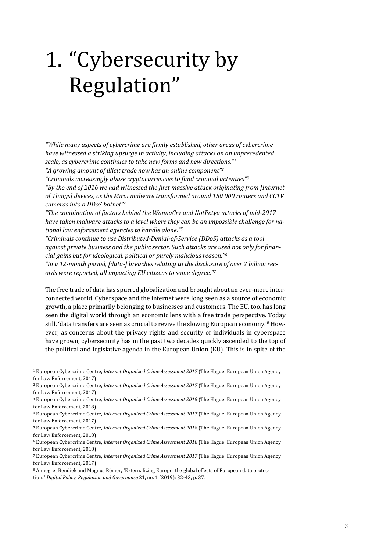# <span id="page-2-0"></span>1. "Cybersecurity by Regulation"

*"While many aspects of cybercrime are firmly established, other areas of cybercrime have witnessed a striking upsurge in activity, including attacks on an unprecedented scale, as cybercrime continues to take new forms and new directions."<sup>1</sup> "A growing amount of illicit trade now has an online component"<sup>2</sup>* 

*"Criminals increasingly abuse cryptocurrencies to fund criminal activities"<sup>3</sup>*

*"By the end of 2016 we had witnessed the first massive attack originating from [Internet of Things] devices, as the Mirai malware transformed around 150 000 routers and CCTV cameras into a DDoS botnet"<sup>4</sup>*

*"The combination of factors behind the WannaCry and NotPetya attacks of mid-2017 have taken malware attacks to a level where they can be an impossible challenge for national law enforcement agencies to handle alone."<sup>5</sup>* 

*"Criminals continue to use Distributed-Denial-of-Service (DDoS) attacks as a tool against private business and the public sector. Such attacks are used not only for financial gains but for ideological, political or purely malicious reason."<sup>6</sup>*

*"In a 12-month period, [data-] breaches relating to the disclosure of over 2 billion records were reported, all impacting EU citizens to some degree."<sup>7</sup>*

The free trade of data has spurred globalization and brought about an ever-more interconnected world. Cyberspace and the internet were long seen as a source of economic growth, a place primarily belonging to businesses and customers. The EU, too, has long seen the digital world through an economic lens with a free trade perspective. Today still, 'data transfers are seen as crucial to revive the slowing European economy.'<sup>8</sup> However, as concerns about the privacy rights and security of individuals in cyberspace have grown, cybersecurity has in the past two decades quickly ascended to the top of the political and legislative agenda in the European Union (EU). This is in spite of the

<sup>1</sup> European Cybercrime Centre, *Internet Organized Crime Assessment 2017* (The Hague: European Union Agency for Law Enforcement, 2017)

<sup>2</sup> European Cybercrime Centre, *Internet Organized Crime Assessment 2017* (The Hague: European Union Agency for Law Enforcement, 2017)

<sup>3</sup> European Cybercrime Centre, *Internet Organized Crime Assessment 2018* (The Hague: European Union Agency for Law Enforcement, 2018)

<sup>4</sup> European Cybercrime Centre, *Internet Organized Crime Assessment 2017* (The Hague: European Union Agency for Law Enforcement, 2017)

<sup>5</sup> European Cybercrime Centre, *Internet Organized Crime Assessment 2018* (The Hague: European Union Agency for Law Enforcement, 2018)

<sup>6</sup> European Cybercrime Centre, *Internet Organized Crime Assessment 2018* (The Hague: European Union Agency for Law Enforcement, 2018)

<sup>7</sup> European Cybercrime Centre, *Internet Organized Crime Assessment 2017* (The Hague: European Union Agency for Law Enforcement, 2017)

<sup>8</sup> Annegret Bendiek and Magnus Römer, "Externalizing Europe: the global effects of European data protection." *Digital Policy, Regulation and Governance* 21, no. 1 (2019): 32-43, p. 37.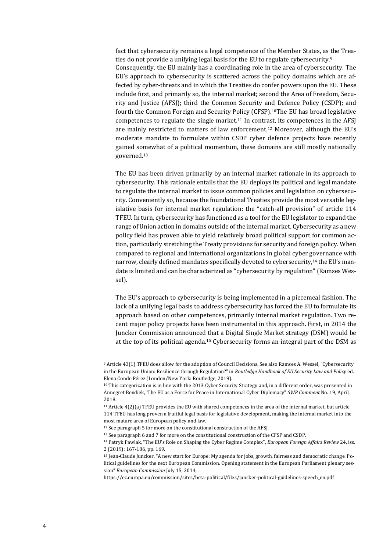fact that cybersecurity remains a legal competence of the Member States, as the Treaties do not provide a unifying legal basis for the EU to regulate cybersecurity.<sup>9</sup> Consequently, the EU mainly has a coordinating role in the area of cybersecurity. The EU's approach to cybersecurity is scattered across the policy domains which are affected by cyber-threats and in which the Treaties do confer powers upon the EU. These include first, and primarily so, the internal market; second the Area of Freedom, Security and Justice (AFSJ); third the Common Security and Defence Policy (CSDP); and fourth the Common Foreign and Security Policy (CFSP).10The EU has broad legislative competences to regulate the single market.<sup>11</sup> In contrast, its competences in the AFSI are mainly restricted to matters of law enforcement.<sup>12</sup> Moreover, although the EU's moderate mandate to formulate within CSDP cyber defence projects have recently gained somewhat of a political momentum, these domains are still mostly nationally governed.<sup>13</sup>

The EU has been driven primarily by an internal market rationale in its approach to cybersecurity. This rationale entails that the EU deploys its political and legal mandate to regulate the internal market to issue common policies and legislation on cybersecurity. Conveniently so, because the foundational Treaties provide the most versatile legislative basis for internal market regulation: the "catch-all provision" of article 114 TFEU. In turn, cybersecurity has functioned as a tool for the EU legislator to expand the range of Union action in domains outside of the internal market. Cybersecurity as a new policy field has proven able to yield relatively broad political support for common action, particularly stretching the Treaty provisions for security and foreign policy. When compared to regional and international organizations in global cyber governance with narrow, clearly defined mandates specifically devoted to cybersecurity,<sup>14</sup> the EU's mandate is limited and can be characterized as "cybersecurity by regulation" (Ramses Wessel).

The EU's approach to cybersecurity is being implemented in a piecemeal fashion. The lack of a unifying legal basis to address cybersecurity has forced the EU to formulate its approach based on other competences, primarily internal market regulation. Two recent major policy projects have been instrumental in this approach. First, in 2014 the Juncker Commission announced that a Digital Single Market strategy (DSM) would be at the top of its political agenda.<sup>15</sup> Cybersecurity forms an integral part of the DSM as

[https://ec.europa.eu/commission/sites/beta-political/files/juncker-political-guidelines-speech\\_en.pdf](https://ec.europa.eu/commission/sites/beta-political/files/juncker-political-guidelines-speech_en.pdf)

<sup>9</sup> Article 43(1) TFEU does allow for the adoption of Council Decisions. See also Ramses A. Wessel, "Cybersecurity in the European Union: Resilience through Regulation?" in *Routledge Handbook of EU Security Law and Policy* ed. Elena Conde Pérez (London/New York: Routledge, 2019).

<sup>&</sup>lt;sup>10</sup> This categorization is in line with the 2013 Cyber Security Strategy and, in a different order, was presented in Annegret Bendiek, 'The EU as a Force for Peace in International Cyber Diplomacy" *SWP Comment* No. 19, April, 2018.

<sup>11</sup> Article 4(2)(a) TFEU provides the EU with shared competences in the area of the internal market, but article 114 TFEU has long proven a fruitful legal basis for legislative development, making the internal market into the most mature area of European policy and law.

<sup>&</sup>lt;sup>12</sup> See paragraph 5 for more on the constitutional construction of the AFSJ.

<sup>13</sup> See paragraph 6 and 7 for more on the constitutional construction of the CFSP and CSDP.

<sup>14</sup> Patryk Pawlak, "The EU's Role on Shaping the Cyber Regime Complex", *European Foreign Affairs Review* 24, iss. 2 (2019): 167-186, pp. 169.

<sup>15</sup> Jean-Claude Juncker, "A new start for Europe: My agenda for jobs, growth, fairness and democratic change. Political guidelines for the next European Commission. Opening statement in the European Parliament plenary session" *European Commission* July 15, 2014,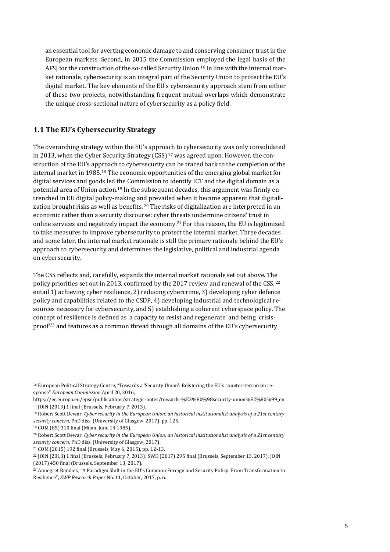an essential tool for averting economic damage to and conserving consumer trust in the European markets. Second, in 2015 the Commission employed the legal basis of the AFSJ for the construction of the so-called Security Union.<sup>16</sup> In line with the internal market rationale, cybersecurity is an integral part of the Security Union to protect the EU's digital market. The key elements of the EU's cybersecurity approach stem from either of these two projects, notwithstanding frequent mutual overlaps which demonstrate the unique cross-sectional nature of cybersecurity as a policy field.

#### <span id="page-4-0"></span>**1.1 The EU's Cybersecurity Strategy**

The overarching strategy within the EU's approach to cybersecurity was only consolidated in 2013, when the Cyber Security Strategy  $(CSS)^{17}$  was agreed upon. However, the construction of the EU's approach to cybersecurity can be traced back to the completion of the internal market in 1985.<sup>18</sup> The economic opportunities of the emerging global market for digital services and goods led the Commission to identify ICT and the digital domain as a potential area of Union action.<sup>19</sup> In the subsequent decades, this argument was firmly entrenched in EU digital policy-making and prevailed when it became apparent that digitalization brought risks as well as benefits.  $20$  The risks of digitalization are interpreted in an economic rather than a security discourse: cyber threats undermine citizens' trust in online services and negatively impact the economy.<sup>21</sup> For this reason, the EU is legitimized to take measures to improve cybersecurity to protect the internal market. Three decades and some later, the internal market rationale is still the primary rationale behind the EU's approach to cybersecurity and determines the legislative, political and industrial agenda on cybersecurity.

The CSS reflects and, carefully, expands the internal market rationale set out above. The policy priorities set out in 2013, confirmed by the 2017 review and renewal of the CSS, <sup>22</sup> entail 1) achieving cyber resilience, 2) reducing cybercrime, 3) developing cyber defence policy and capabilities related to the CSDP, 4) developing industrial and technological resources necessary for cybersecurity, and 5) establishing a coherent cyberspace policy. The concept of resilience is defined as 'a capacity to resist and regenerate' and being 'crisisproof'<sup>23</sup> and features as a common thread through all domains of the EU's cybersecurity

<sup>16</sup> European Political Strategy Centre, "Towards a 'Security Union': Bolstering the EU's counter-terrorism response" *European Commission* April 20, 2016,

[https://ec.europa.eu/epsc/publications/strategic-notes/towards-%E2%80%98security-union%E2%80%99\\_en](https://ec.europa.eu/epsc/publications/strategic-notes/towards-%E2%80%98security-union%E2%80%99_en) <sup>17</sup> JOIN (2013) 1 final (Brussels, February 7, 2013).

<sup>18</sup> Robert Scott Dewar, *Cyber security in the European Union: an historical institutionalist analysis of a 21st century security concern*, PhD diss. (University of Glasgow, 2017), pp. 125.

<sup>19</sup> COM (85) 310 final (Milan, June 14 1985).

<sup>20</sup> Robert Scott Dewar, *Cyber security in the European Union: an historical institutionalist analysis of a 21st century security concern*, PhD diss. (University of Glasgow, 2017).

<sup>21</sup> COM (2015) 192 final (Brussels, May 6, 2015), pp. 12-13.

<sup>22</sup> JOIN (2013) 1 final (Brussels, February 7, 2013); SWD (2017) 295 final (Brussels, September 13, 2017); JOIN (2017) 450 final (Brussels, September 13, 2017).

<sup>23</sup> Annegret Bendiek, "A Paradigm Shift in the EU's Common Foreign and Security Policy: From Transformation to Resilience", *SWP Research Paper* No. 11, October, 2017, p. 6.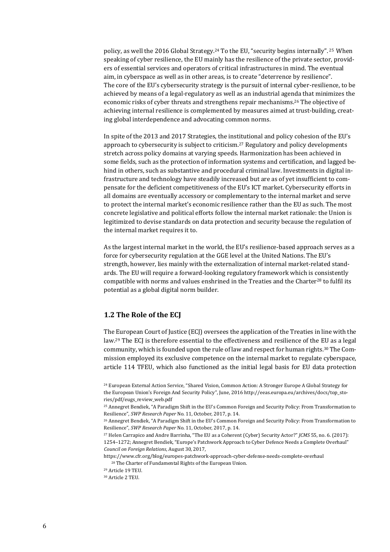policy, as well the 2016 Global Strategy.<sup>24</sup> To the EU, "security begins internally". <sup>25</sup> When speaking of cyber resilience, the EU mainly has the resilience of the private sector, providers of essential services and operators of critical infrastructures in mind. The eventual aim, in cyberspace as well as in other areas, is to create "deterrence by resilience". The core of the EU's cybersecurity strategy is the pursuit of internal cyber-resilience, to be achieved by means of a legal-regulatory as well as an industrial agenda that minimizes the economic risks of cyber threats and strengthens repair mechanisms.<sup>26</sup> The objective of achieving internal resilience is complemented by measures aimed at trust-building, creating global interdependence and advocating common norms.

In spite of the 2013 and 2017 Strategies, the institutional and policy cohesion of the EU's approach to cybersecurity is subject to criticism.<sup>27</sup> Regulatory and policy developments stretch across policy domains at varying speeds. Harmonization has been achieved in some fields, such as the protection of information systems and certification, and lagged behind in others, such as substantive and procedural criminal law. Investments in digital infrastructure and technology have steadily increased but are as of yet insufficient to compensate for the deficient competitiveness of the EU's ICT market. Cybersecurity efforts in all domains are eventually accessory or complementary to the internal market and serve to protect the internal market's economic resilience rather than the EU as such. The most concrete legislative and political efforts follow the internal market rationale: the Union is legitimized to devise standards on data protection and security because the regulation of the internal market requires it to.

As the largest internal market in the world, the EU's resilience-based approach serves as a force for cybersecurity regulation at the GGE level at the United Nations. The EU's strength, however, lies mainly with the externalization of internal market-related standards. The EU will require a forward-looking regulatory framework which is consistently compatible with norms and values enshrined in the Treaties and the Charter<sup>28</sup> to fulfil its potential as a global digital norm builder.

#### <span id="page-5-0"></span>**1.2 The Role of the ECJ**

The European Court of Justice (ECJ) oversees the application of the Treaties in line with the law.<sup>29</sup> The ECJ is therefore essential to the effectiveness and resilience of the EU as a legal community, which is founded upon the rule of law and respect for human rights.<sup>30</sup> The Commission employed its exclusive competence on the internal market to regulate cyberspace, article 114 TFEU, which also functioned as the initial legal basis for EU data protection

<sup>25</sup> Annegret Bendiek, "A Paradigm Shift in the EU's Common Foreign and Security Policy: From Transformation to Resilience", *SWP Research Paper* No. 11, October, 2017, p. 14.

1254–1272; Annegret Bendiek, "Europe's Patchwork Approach to Cyber Defence Needs a Complete Overhaul" *Council on Foreign Relations*, August 30, 2017,

<https://www.cfr.org/blog/europes-patchwork-approach-cyber-defense-needs-complete-overhaul> <sup>28</sup> The Charter of Fundamental Rights of the European Union.

<sup>24</sup> European External Action Service, "Shared Vision, Common Action: A Stronger Europe A Global Strategy for the European Union's Foreign And Security Policy", June, 2016 [http://eeas.europa.eu/archives/docs/top\\_sto](http://eeas.europa.eu/archives/docs/top_stories/pdf/eugs_review_web.pdf)[ries/pdf/eugs\\_review\\_web.pdf](http://eeas.europa.eu/archives/docs/top_stories/pdf/eugs_review_web.pdf)

<sup>26</sup> Annegret Bendiek, "A Paradigm Shift in the EU's Common Foreign and Security Policy: From Transformation to Resilience", *SWP Research Paper* No. 11, October, 2017, p. 14.

<sup>27</sup> Helen Carrapico and Andre Barrinha, "The EU as a Coherent (Cyber) Security Actor?" *JCMS* 55, no. 6. (2017):

<sup>29</sup> Article 19 TEU.

<sup>30</sup> Article 2 TEU.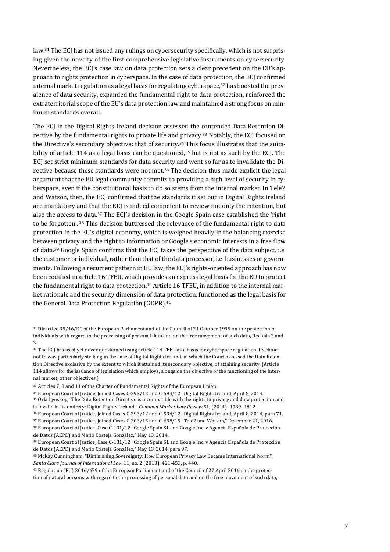law.<sup>31</sup> The ECJ has not issued any rulings on cybersecurity specifically, which is not surprising given the novelty of the first comprehensive legislative instruments on cybersecurity. Nevertheless, the ECJ's case law on data protection sets a clear precedent on the EU's approach to rights protection in cyberspace. In the case of data protection, the ECJ confirmed internal market regulation as a legal basis for regulating cyberspace, $32$  has boosted the prevalence of data security, expanded the fundamental right to data protection, reinforced the extraterritorial scope of the EU's data protection law and maintained a strong focus on minimum standards overall.

The ECJ in the Digital Rights Ireland decision assessed the contended Data Retention Directive by the fundamental rights to private life and privacy.<sup>33</sup> Notably, the ECJ focused on the Directive's secondary objective: that of security.<sup>34</sup> This focus illustrates that the suitability of article 114 as a legal basis can be questioned, $35$  but is not as such by the ECJ. The ECJ set strict minimum standards for data security and went so far as to invalidate the Directive because these standards were not met.<sup>36</sup> The decision thus made explicit the legal argument that the EU legal community commits to providing a high level of security in cyberspace, even if the constitutional basis to do so stems from the internal market. In Tele2 and Watson, then, the ECJ confirmed that the standards it set out in Digital Rights Ireland are mandatory and that the ECJ is indeed competent to review not only the retention, but also the access to data.<sup>37</sup> The ECJ's decision in the Google Spain case established the 'right to be forgotten'.<sup>38</sup> This decision buttressed the relevance of the fundamental right to data protection in the EU's digital economy, which is weighed heavily in the balancing exercise between privacy and the right to information or Google's economic interests in a free flow of data.<sup>39</sup> Google Spain confirms that the ECJ takes the perspective of the data subject, i.e. the customer or individual, rather than that of the data processor, i.e. businesses or governments. Following a recurrent pattern in EU law, the ECJ's rights-oriented approach has now been codified in article 16 TFEU, which provides an express legal basis for the EU to protect the fundamental right to data protection.<sup>40</sup> Article 16 TFEU, in addition to the internal market rationale and the security dimension of data protection, functioned as the legal basis for the General Data Protection Regulation (GDPR).<sup>41</sup>

- <sup>31</sup> Directive 95/46/EC of the European Parliament and of the Council of 24 October 1995 on the protection of individuals with regard to the processing of personal data and on the free movement of such data, Recitals 2 and 3.
- <sup>32</sup> The ECI has as of yet never questioned using article 114 TFEU as a basis for cyberspace regulation. Its choice not to was particularly striking in the case of Digital Rights Ireland, in which the Court assessed the Data Retention Directive exclusive by the extent to which it attained its secondary objective, of attaining security. (Article 114 allows for the issuance of legislation which employs, alongside the objective of the functioning of the internal market, other objectives.)

<sup>33</sup> Articles 7, 8 and 11 of the Charter of Fundamental Rights of the European Union.

<sup>34</sup> European Court of Justice, Joined Cases C-293/12 and C-594/12 "Digital Rights Ireland, April 8, 2014.

<sup>35</sup> Orla Lynskey, "The Data Retention Directive is incompatible with the rights to privacy and data protection and is invalid in its entirety: Digital Rights Ireland," *Common Market Law Review* 51, (2014): 1789–1812.

<sup>37</sup> European Court of Justice, Joined Cases C-203/15 and C-698/15 "Tele2 and Watson," December 21, 2016.

<sup>39</sup> European Court of Justice, Case C-131/12 "Google Spain SL and Google Inc. v Agencia Española de Protección de Datos (AEPD) and Mario Costeja González," May 13, 2014, para 97.

<sup>36</sup> European Court of Justice, Joined Cases C-293/12 and C-594/12 "Digital Rights Ireland, April 8, 2014, para 71.

<sup>38</sup> European Court of Justice, Case C-131/12 "Google Spain SL and Google Inc. v Agencia Española de Protección de Datos (AEPD) and Mario Costeja González," May 13, 2014.

<sup>40</sup> McKay Cunningham, "Diminishing Sovereignty: How European Privacy Law Became International Norm", *Santa Clara Journal of International Law* 11, no. 2 (2013): 421-453, p. 440.

<sup>41</sup> Regulation (EU) 2016/679 of the European Parliament and of the Council of 27 April 2016 on the protection of natural persons with regard to the processing of personal data and on the free movement of such data,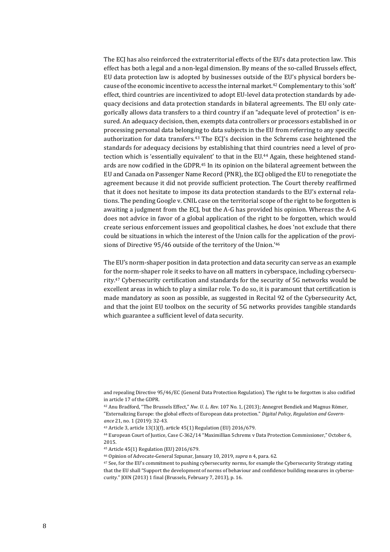The ECJ has also reinforced the extraterritorial effects of the EU's data protection law. This effect has both a legal and a non-legal dimension. By means of the so-called Brussels effect, EU data protection law is adopted by businesses outside of the EU's physical borders because of the economic incentive to access the internal market.<sup>42</sup> Complementary to this 'soft' effect, third countries are incentivized to adopt EU-level data protection standards by adequacy decisions and data protection standards in bilateral agreements. The EU only categorically allows data transfers to a third country if an "adequate level of protection" is ensured. An adequacy decision, then, exempts data controllers or processors established in or processing personal data belonging to data subjects in the EU from referring to any specific authorization for data transfers.<sup>43</sup> The ECJ's decision in the Schrems case heightened the standards for adequacy decisions by establishing that third countries need a level of protection which is 'essentially equivalent' to that in the EU.<sup>44</sup> Again, these heightened standards are now codified in the GDPR.<sup>45</sup> In its opinion on the bilateral agreement between the EU and Canada on Passenger Name Record (PNR), the ECJ obliged the EU to renegotiate the agreement because it did not provide sufficient protection. The Court thereby reaffirmed that it does not hesitate to impose its data protection standards to the EU's external relations. The pending Google v. CNIL case on the territorial scope of the right to be forgotten is awaiting a judgment from the ECJ, but the A-G has provided his opinion. Whereas the A-G does not advice in favor of a global application of the right to be forgotten, which would create serious enforcement issues and geopolitical clashes, he does 'not exclude that there could be situations in which the interest of the Union calls for the application of the provisions of Directive 95/46 outside of the territory of the Union.'<sup>46</sup>

The EU's norm-shaper position in data protection and data security can serve as an example for the norm-shaper role it seeks to have on all matters in cyberspace, including cybersecurity.<sup>47</sup> Cybersecurity certification and standards for the security of 5G networks would be excellent areas in which to play a similar role. To do so, it is paramount that certification is made mandatory as soon as possible, as suggested in Recital 92 of the Cybersecurity Act, and that the joint EU toolbox on the security of 5G networks provides tangible standards which guarantee a sufficient level of data security.

and repealing Directive 95/46/EC (General Data Protection Regulation). The right to be forgotten is also codified in article 17 of the GDPR.

<sup>42</sup> Anu Bradford, "The Brussels Effect," *Nw. U. L. Rev.* 107 No. 1, (2013); Annegret Bendiek and Magnus Römer, "Externalizing Europe: the global effects of European data protection." *Digital Policy, Regulation and Governance* 21, no. 1 (2019): 32-43.

<sup>43</sup> Article 3, article 13(1)(f), article 45(1) Regulation (EU) 2016/679.

<sup>44</sup> European Court of Justice, Case C-362/14 "Maximillian Schrems v Data Protection Commissioner," October 6, 2015.

<sup>45</sup> Article 45(1) Regulation (EU) 2016/679.

<sup>46</sup> Opinion of Advocate-General Szpunar, January 10, 2019, *supra* n 4, para. 62.

<sup>47</sup> See, for the EU's commitment to pushing cybersecurity norms, for example the Cybersecurity Strategy stating that the EU shall "Support the development of norms of behaviour and confidence building measures in cybersecurity." JOIN (2013) 1 final (Brussels, February 7, 2013), p. 16.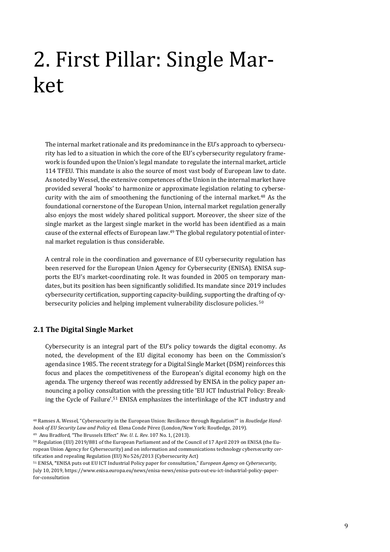# <span id="page-8-0"></span>2. First Pillar: Single Market

The internal market rationale and its predominance in the EU's approach to cybersecurity has led to a situation in which the core of the EU's cybersecurity regulatory framework is founded upon the Union's legal mandate to regulate the internal market, article 114 TFEU. This mandate is also the source of most vast body of European law to date. As noted by Wessel, the extensive competences of the Union in the internal market have provided several 'hooks' to harmonize or approximate legislation relating to cybersecurity with the aim of smoothening the functioning of the internal market.<sup>48</sup> As the foundational cornerstone of the European Union, internal market regulation generally also enjoys the most widely shared political support. Moreover, the sheer size of the single market as the largest single market in the world has been identified as a main cause of the external effects of European law.<sup>49</sup> The global regulatory potential of internal market regulation is thus considerable.

A central role in the coordination and governance of EU cybersecurity regulation has been reserved for the European Union Agency for Cybersecurity (ENISA). ENISA supports the EU's market-coordinating role. It was founded in 2005 on temporary mandates, but its position has been significantly solidified. Its mandate since 2019 includes cybersecurity certification, supporting capacity-building, supporting the drafting of cybersecurity policies and helping implement vulnerability disclosure policies. <sup>50</sup>

#### <span id="page-8-1"></span>**2.1 The Digital Single Market**

Cybersecurity is an integral part of the EU's policy towards the digital economy. As noted, the development of the EU digital economy has been on the Commission's agenda since 1985. The recent strategy for a Digital Single Market (DSM) reinforces this focus and places the competitiveness of the European's digital economy high on the agenda. The urgency thereof was recently addressed by ENISA in the policy paper announcing a policy consultation with the pressing title 'EU ICT Industrial Policy: Breaking the Cycle of Failure'.<sup>51</sup> ENISA emphasizes the interlinkage of the ICT industry and

<sup>49</sup> Anu Bradford, "The Brussels Effect" *Nw. U. L. Rev.* 107 No. 1, (2013).

<sup>48</sup> Ramses A. Wessel, "Cybersecurity in the European Union: Resilience through Regulation?" in *Routledge Handbook of EU Security Law and Policy* ed. Elena Conde Pérez (London/New York: Routledge, 2019).

<sup>50</sup> Regulation (EU) 2019/881 of the European Parliament and of the Council of 17 April 2019 on ENISA (the European Union Agency for Cybersecurity) and on information and communications technology cybersecurity certification and repealing Regulation (EU) No 526/2013 (Cybersecurity Act)

<sup>51</sup> ENISA, **"**ENISA puts out EU ICT Industrial Policy paper for consultation," *European Agency on Cybersecurity*, July 10, 2019[, https://www.enisa.europa.eu/news/enisa-news/enisa-puts-out-eu-ict-industrial-policy-paper](https://www.enisa.europa.eu/news/enisa-news/enisa-puts-out-eu-ict-industrial-policy-paper-for-consultation)[for-consultation](https://www.enisa.europa.eu/news/enisa-news/enisa-puts-out-eu-ict-industrial-policy-paper-for-consultation)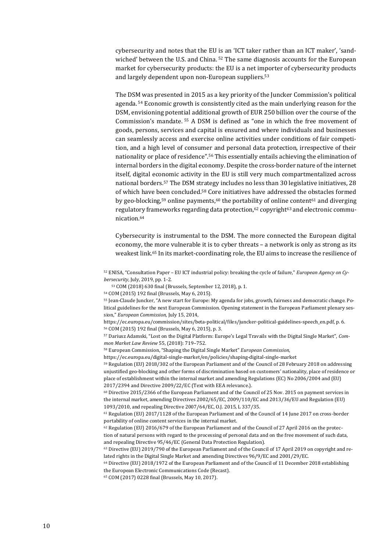cybersecurity and notes that the EU is an 'ICT taker rather than an ICT maker', 'sandwiched' between the U.S. and China. <sup>52</sup> The same diagnosis accounts for the European market for cybersecurity products: the EU is a net importer of cybersecurity products and largely dependent upon non-European suppliers.<sup>53</sup>

The DSM was presented in 2015 as a key priority of the Juncker Commission's political agenda. <sup>54</sup> Economic growth is consistently cited as the main underlying reason for the DSM, envisioning potential additional growth of EUR 250 billion over the course of the Commission's mandate. <sup>55</sup> A DSM is defined as "one in which the free movement of goods, persons, services and capital is ensured and where individuals and businesses can seamlessly access and exercise online activities under conditions of fair competition, and a high level of consumer and personal data protection, irrespective of their nationality or place of residence".<sup>56</sup> This essentially entails achieving the elimination of internal borders in the digital economy. Despite the cross-border nature of the internet itself, digital economic activity in the EU is still very much compartmentalized across national borders.<sup>57</sup> The DSM strategy includes no less than 30 legislative initiatives, 28 of which have been concluded.<sup>58</sup> Core initiatives have addressed the obstacles formed by geo-blocking,<sup>59</sup> online payments,<sup>60</sup> the portability of online content<sup>61</sup> and diverging regulatory frameworks regarding data protection,<sup>62</sup> copyright<sup>63</sup> and electronic communication.<sup>64</sup>

Cybersecurity is instrumental to the DSM. The more connected the European digital economy, the more vulnerable it is to cyber threats – a network is only as strong as its weakest link.<sup>65</sup> In its market-coordinating role, the EU aims to increase the resilience of

<sup>52</sup> ENISA, "Consultation Paper – EU ICT industrial policy: breaking the cycle of failure," *European Agency on Cybersecurity*, July, 2019, pp. 1-2.

<sup>53</sup> COM (2018) 630 final (Brussels, September 12, 2018), p. 1.

<sup>54</sup> COM (2015) 192 final (Brussels, May 6, 2015).

<sup>55</sup> Jean-Claude Juncker, "A new start for Europe: My agenda for jobs, growth, fairness and democratic change. Political guidelines for the next European Commission. Opening statement in the European Parliament plenary session," *European Commission,* July 15, 2014,

[https://ec.europa.eu/commission/sites/beta-political/files/juncker-political-guidelines-speech\\_en.pdf,](https://ec.europa.eu/commission/sites/beta-political/files/juncker-political-guidelines-speech_en.pdf) p. 6. <sup>56</sup> COM (2015) 192 final (Brussels, May 6, 2015), p. 3.

<sup>57</sup> Dariusz Adamski, "Lost on the Digital Platform: Europe's Legal Travails with the Digital Single Market", *Common Market Law Review* 55, (2018): 719–752.

<sup>58</sup> European Commission, "Shaping the Digital Single Market" *European Commission*,

<https://ec.europa.eu/digital-single-market/en/policies/shaping-digital-single-market> <sup>59</sup> Regulation (EU) 2018/302 of the European Parliament and of the Council of 28 February 2018 on addressing unjustified geo-blocking and other forms of discrimination based on customers' nationality, place of residence or

place of establishment within the internal market and amending Regulations (EC) No 2006/2004 and (EU) 2017/2394 and Directive 2009/22/EC (Text with EEA relevance.).

 $60$  Directive 2015/2366 of the European Parliament and of the Council of 25 Nov. 2015 on payment services in the internal market, amending Directives 2002/65/EC, 2009/110/EC and 2013/36/EU and Regulation (EU) 1093/2010, and repealing Directive 2007/64/EC, O.J. 2015, L 337/35.

<sup>61</sup> Regulation (EU) 2017/1128 of the European Parliament and of the Council of 14 June 2017 on cross-border portability of online content services in the internal market.

 $62$  Regulation (EU) 2016/679 of the European Parliament and of the Council of 27 April 2016 on the protection of natural persons with regard to the processing of personal data and on the free movement of such data, and repealing Directive 95/46/EC (General Data Protection Regulation).

<sup>63</sup> Directive (EU) 2019/790 of the European Parliament and of the Council of 17 April 2019 on copyright and related rights in the Digital Single Market and amending Directives 96/9/EC and 2001/29/EC.

<sup>64</sup> Directive (EU) 2018/1972 of the European Parliament and of the Council of 11 December 2018 establishing the European Electronic Communications Code (Recast).

<sup>65</sup> COM (2017) 0228 final (Brussels, May 10, 2017).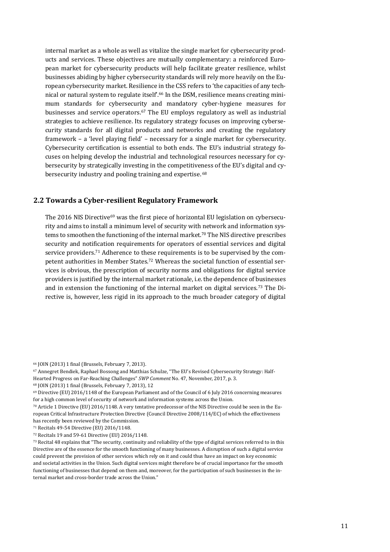internal market as a whole as well as vitalize the single market for cybersecurity products and services. These objectives are mutually complementary: a reinforced European market for cybersecurity products will help facilitate greater resilience, whilst businesses abiding by higher cybersecurity standards will rely more heavily on the European cybersecurity market. Resilience in the CSS refers to 'the capacities of any technical or natural system to regulate itself'.<sup>66</sup> In the DSM, resilience means creating minimum standards for cybersecurity and mandatory cyber-hygiene measures for businesses and service operators.<sup>67</sup> The EU employs regulatory as well as industrial strategies to achieve resilience. Its regulatory strategy focuses on improving cybersecurity standards for all digital products and networks and creating the regulatory framework – a 'level playing field' – necessary for a single market for cybersecurity. Cybersecurity certification is essential to both ends. The EU's industrial strategy focuses on helping develop the industrial and technological resources necessary for cybersecurity by strategically investing in the competitiveness of the EU's digital and cybersecurity industry and pooling training and expertise. <sup>68</sup>

#### <span id="page-10-0"></span>**2.2 Towards a Cyber-resilient Regulatory Framework**

The 2016 NIS Directive<sup>69</sup> was the first piece of horizontal EU legislation on cybersecurity and aims to install a minimum level of security with network and information systems to smoothen the functioning of the internal market.<sup>70</sup> The NIS directive prescribes security and notification requirements for operators of essential services and digital service providers.<sup>71</sup> Adherence to these requirements is to be supervised by the competent authorities in Member States.<sup>72</sup> Whereas the societal function of essential services is obvious, the prescription of security norms and obligations for digital service providers is justified by the internal market rationale, i.e. the dependence of businesses and in extension the functioning of the internal market on digital services.<sup>73</sup> The Directive is, however, less rigid in its approach to the much broader category of digital

<sup>66</sup> JOIN (2013) 1 final (Brussels, February 7, 2013).

<sup>67</sup> Annegret Bendiek, Raphael Bossong and Matthias Schulze, "The EU's Revised Cybersecurity Strategy: Half-Hearted Progress on Far-Reaching Challenges" *SWP Comment* No. 47, November, 2017, p. 3.

<sup>68</sup> JOIN (2013) 1 final (Brussels, February 7, 2013), 12

<sup>69</sup> Directive (EU) 2016/1148 of the European Parliament and of the Council of 6 July 2016 concerning measures for a high common level of security of network and information systems across the Union.

<sup>70</sup> Article 1 Directive (EU) 2016/1148. A very tentative predecessor of the NIS Directive could be seen in the European Critical Infrastructure Protection Directive (Council Directive 2008/114/EC) of which the effectiveness has recently been reviewed by the Commission.

<sup>71</sup> Recitals 49-54 Directive (EU) 2016/1148.

<sup>72</sup> Recitals 19 and 59-61 Directive (EU) 2016/1148.

 $73$  Recital 48 explains that "The security, continuity and reliability of the type of digital services referred to in this Directive are of the essence for the smooth functioning of many businesses. A disruption of such a digital service could prevent the provision of other services which rely on it and could thus have an impact on key economic and societal activities in the Union. Such digital services might therefore be of crucial importance for the smooth functioning of businesses that depend on them and, moreover, for the participation of such businesses in the internal market and cross-border trade across the Union."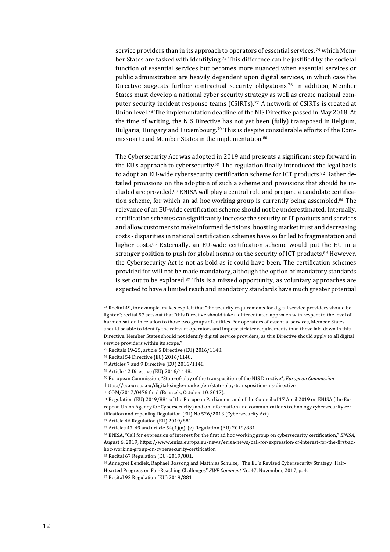service providers than in its approach to operators of essential services, 74 which Member States are tasked with identifying.<sup>75</sup> This difference can be justified by the societal function of essential services but becomes more nuanced when essential services or public administration are heavily dependent upon digital services, in which case the Directive suggests further contractual security obligations.<sup>76</sup> In addition, Member States must develop a national cyber security strategy as well as create national computer security incident response teams (CSIRTs).<sup>77</sup> A network of CSIRTs is created at Union level.<sup>78</sup> The implementation deadline of the NIS Directive passed in May 2018. At the time of writing, the NIS Directive has not yet been (fully) transposed in Belgium, Bulgaria, Hungary and Luxembourg.<sup>79</sup> This is despite considerable efforts of the Commission to aid Member States in the implementation.<sup>80</sup>

The Cybersecurity Act was adopted in 2019 and presents a significant step forward in the EU's approach to cybersecurity.<sup>81</sup> The regulation finally introduced the legal basis to adopt an EU-wide cybersecurity certification scheme for ICT products.<sup>82</sup> Rather detailed provisions on the adoption of such a scheme and provisions that should be included are provided.<sup>83</sup> ENISA will play a central role and prepare a candidate certification scheme, for which an ad hoc working group is currently being assembled.<sup>84</sup> The relevance of an EU-wide certification scheme should not be underestimated. Internally, certification schemes can significantly increase the security of IT products and services and allow customers to make informed decisions, boosting market trust and decreasing costs - disparities in national certification schemes have so far led to fragmentation and higher costs.<sup>85</sup> Externally, an EU-wide certification scheme would put the EU in a stronger position to push for global norms on the security of ICT products.<sup>86</sup> However, the Cybersecurity Act is not as bold as it could have been. The certification schemes provided for will not be made mandatory, although the option of mandatory standards is set out to be explored.<sup>87</sup> This is a missed opportunity, as voluntary approaches are expected to have a limited reach and mandatory standards have much greater potential

<sup>75</sup> Recitals 19-25, article 5 Directive (EU) 2016/1148.

<sup>76</sup> Recital 54 Directive (EU) 2016/1148.

<sup>77</sup> Articles 7 and 9 Directive (EU) 2016/1148.

<sup>78</sup> Article 12 Directive (EU) 2016/1148.

<sup>79</sup> European Commission, "State-of-play of the transposition of the NIS Directive", *European Commission*  <https://ec.europa.eu/digital-single-market/en/state-play-transposition-nis-directive>

<sup>81</sup> Regulation (EU) 2019/881 of the European Parliament and of the Council of 17 April 2019 on ENISA (the European Union Agency for Cybersecurity) and on information and communications technology cybersecurity certification and repealing Regulation (EU) No 526/2013 (Cybersecurity Act).

<sup>82</sup> Article 46 Regulation (EU) 2019/881.

<sup>83</sup> Articles 47-49 and article 54(1)(a)-(v) Regulation (EU) 2019/881.

<sup>84</sup> ENISA, "Call for expression of interest for the first ad hoc working group on cybersecurity certification," *ENISA*, August 6, 2019, [https://www.enisa.europa.eu/news/enisa-news/call-for-expression-of-interest-for-the-first-ad](https://www.enisa.europa.eu/news/enisa-news/call-for-expression-of-interest-for-the-first-ad-hoc-working-group-on-cybersecurity-certification)[hoc-working-group-on-cybersecurity-certification](https://www.enisa.europa.eu/news/enisa-news/call-for-expression-of-interest-for-the-first-ad-hoc-working-group-on-cybersecurity-certification)

<sup>85</sup> Recital 67 Regulation (EU) 2019/881.

<sup>86</sup> Annegret Bendiek, Raphael Bossong and Matthias Schulze, "The EU's Revised Cybersecurity Strategy: Half-

Hearted Progress on Far-Reaching Challenges" *SWP Comment* No. 47, November, 2017, p. 4.

<sup>87</sup> Recital 92 Regulation (EU) 2019/881

<sup>74</sup> Recital 49, for example, makes explicit that "the security requirements for digital service providers should be lighter"; recital 57 sets out that "this Directive should take a differentiated approach with respect to the level of harmonisation in relation to those two groups of entities. For operators of essential services, Member States should be able to identify the relevant operators and impose stricter requirements than those laid down in this Directive. Member States should not identify digital service providers, as this Directive should apply to all digital service providers within its scope."

<sup>80</sup> COM/2017/0476 final (Brussels, October 10, 2017).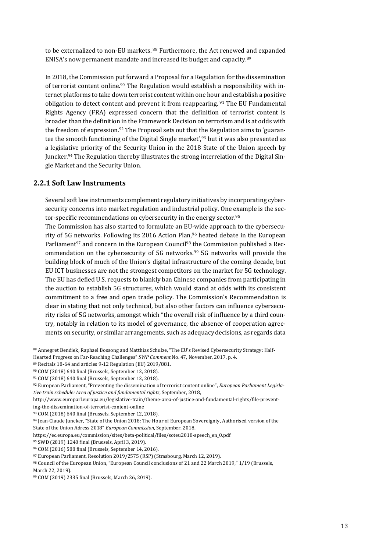to be externalized to non-EU markets. 88 Furthermore, the Act renewed and expanded ENISA's now permanent mandate and increased its budget and capacity.<sup>89</sup>

In 2018, the Commission put forward a Proposal for a Regulation for the dissemination of terrorist content online.<sup>90</sup> The Regulation would establish a responsibility with internet platforms to take down terrorist content within one hour and establish a positive obligation to detect content and prevent it from reappearing. <sup>91</sup> The EU Fundamental Rights Agency (FRA) expressed concern that the definition of terrorist content is broader than the definition in the Framework Decision on terrorism and is at odds with the freedom of expression.<sup>92</sup> The Proposal sets out that the Regulation aims to 'guarantee the smooth functioning of the Digital Single market',<sup>93</sup> but it was also presented as a legislative priority of the Security Union in the 2018 State of the Union speech by Juncker.<sup>94</sup> The Regulation thereby illustrates the strong interrelation of the Digital Single Market and the Security Union.

#### **2.2.1 Soft Law Instruments**

Several soft law instruments complement regulatory initiatives by incorporating cybersecurity concerns into market regulation and industrial policy. One example is the sector-specific recommendations on cybersecurity in the energy sector.<sup>95</sup>

The Commission has also started to formulate an EU-wide approach to the cybersecurity of 5G networks. Following its 2016 Action Plan,<sup>96</sup> heated debate in the European Parliament<sup>97</sup> and concern in the European Council<sup>98</sup> the Commission published a Recommendation on the cybersecurity of 5G networks.<sup>99</sup> 5G networks will provide the building block of much of the Union's digital infrastructure of the coming decade, but EU ICT businesses are not the strongest competitors on the market for 5G technology. The EU has defied U.S. requests to blankly ban Chinese companies from participating in the auction to establish 5G structures, which would stand at odds with its consistent commitment to a free and open trade policy. The Commission's Recommendation is clear in stating that not only technical, but also other factors can influence cybersecurity risks of 5G networks, amongst which "the overall risk of influence by a third country, notably in relation to its model of governance, the absence of cooperation agreements on security, or similar arrangements, such as adequacy decisions, as regards data

<sup>88</sup> Annegret Bendiek, Raphael Bossong and Matthias Schulze, "The EU's Revised Cybersecurity Strategy: Half-

Hearted Progress on Far-Reaching Challenges" *SWP Comment* No. 47, November, 2017, p. 4.

<sup>89</sup> Recitals 18-64 and articles 9-12 Regulation (EU) 2019/881.

<sup>90</sup> COM (2018) 640 final (Brussels, September 12, 2018).

<sup>91</sup> COM (2018) 640 final (Brussels, September 12, 2018).

<sup>92</sup> European Parliament, "Preventing the dissemination of terrorist content online", *European Parliament Legislative train schedule: Area of justice and fundamental rights*, September, 2018,

[http://www.europarl.europa.eu/legislative-train/theme-area-of-justice-and-fundamental-rights/file-prevent](http://www.europarl.europa.eu/legislative-train/theme-area-of-justice-and-fundamental-rights/file-preventing-the-dissemination-of-terrorist-content-online)[ing-the-dissemination-of-terrorist-content-online](http://www.europarl.europa.eu/legislative-train/theme-area-of-justice-and-fundamental-rights/file-preventing-the-dissemination-of-terrorist-content-online)

<sup>93</sup> COM (2018) 640 final (Brussels, September 12, 2018).

<sup>94</sup> Jean-Claude Juncker, "State of the Union 2018: The Hour of European Sovereignty, Authorised version of the State of the Union Adress 2018" *European Commission*, September, 2018,

https://ec.europa.eu/commission/sites/beta-political/files/soteu2018-speech\_en\_0.pdf

<sup>95</sup> SWD (2019) 1240 final (Brussels, April 3, 2019).

<sup>96</sup> COM (2016) 588 final (Brussels, September 14, 2016).

<sup>97</sup> European Parliament, Resolution 2019/2575 (RSP) (Strasbourg, March 12, 2019).

<sup>98</sup> Council of the European Union, "European Council conclusions of 21 and 22 March 2019," 1/19 (Brussels, March 22, 2019).

<sup>99</sup> COM (2019) 2335 final (Brussels, March 26, 2019).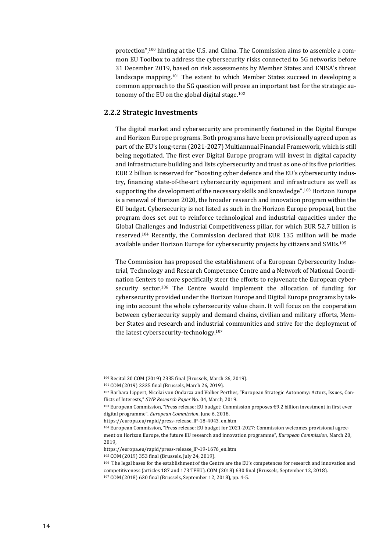protection",<sup>100</sup> hinting at the U.S. and China. The Commission aims to assemble a common EU Toolbox to address the cybersecurity risks connected to 5G networks before 31 December 2019, based on risk assessments by Member States and ENISA's threat landscape mapping.<sup>101</sup> The extent to which Member States succeed in developing a common approach to the 5G question will prove an important test for the strategic autonomy of the EU on the global digital stage.<sup>102</sup>

#### **2.2.2 Strategic Investments**

The digital market and cybersecurity are prominently featured in the Digital Europe and Horizon Europe programs. Both programs have been provisionally agreed upon as part of the EU's long-term (2021-2027) Multiannual Financial Framework, which is still being negotiated. The first ever Digital Europe program will invest in digital capacity and infrastructure building and lists cybersecurity and trust as one of its five priorities. EUR 2 billion is reserved for "boosting cyber defence and the EU's cybersecurity industry, financing state-of-the-art cybersecurity equipment and infrastructure as well as supporting the development of the necessary skills and knowledge".<sup>103</sup> Horizon Europe is a renewal of Horizon 2020, the broader research and innovation program within the EU budget. Cybersecurity is not listed as such in the Horizon Europe proposal, but the program does set out to reinforce technological and industrial capacities under the Global Challenges and Industrial Competitiveness pillar, for which EUR 52,7 billion is reserved.<sup>104</sup> Recently, the Commission declared that EUR 135 million will be made available under Horizon Europe for cybersecurity projects by citizens and SMEs.<sup>105</sup>

The Commission has proposed the establishment of a European Cybersecurity Industrial, Technology and Research Competence Centre and a Network of National Coordination Centers to more specifically steer the efforts to rejuvenate the European cybersecurity sector.<sup>106</sup> The Centre would implement the allocation of funding for cybersecurity provided under the Horizon Europe and Digital Europe programs by taking into account the whole cybersecurity value chain. It will focus on the cooperation between cybersecurity supply and demand chains, civilian and military efforts, Member States and research and industrial communities and strive for the deployment of the latest cybersecurity-technology.<sup>107</sup>

<sup>100</sup> Recital 20 COM (2019) 2335 final (Brussels, March 26, 2019).

<sup>101</sup> COM (2019) 2335 final (Brussels, March 26, 2019).

<sup>102</sup> Barbara Lippert, Nicolai von Ondarza and Volker Perthes, "European Strategic Autonomy: Actors, Issues, Conflicts of Interests," *SWP Research Paper* No. 04, March, 2019.

<sup>103</sup> European Commission, "Press release: EU budget: Commission proposes €9.2 billion investment in first ever digital programme", *European Commission*, June 6, 2018,

[https://europa.eu/rapid/press-release\\_IP-18-4043\\_en.htm](https://europa.eu/rapid/press-release_IP-18-4043_en.htm)

<sup>104</sup> European Commission, "Press release: EU budget for 2021-2027: Commission welcomes provisional agreement on Horizon Europe, the future EU research and innovation programme", *European Commission*, March 20, 2019,

[https://europa.eu/rapid/press-release\\_IP-19-1676\\_en.htm](https://europa.eu/rapid/press-release_IP-19-1676_en.htm)

<sup>105</sup> COM (2019) 353 final (Brussels, July 24, 2019).

<sup>106</sup> The legal bases for the establishment of the Centre are the EU's competences for research and innovation and competitiveness (articles 187 and 173 TFEU). COM (2018) 630 final (Brussels, September 12, 2018). <sup>107</sup> COM (2018) 630 final (Brussels, September 12, 2018), pp. 4-5.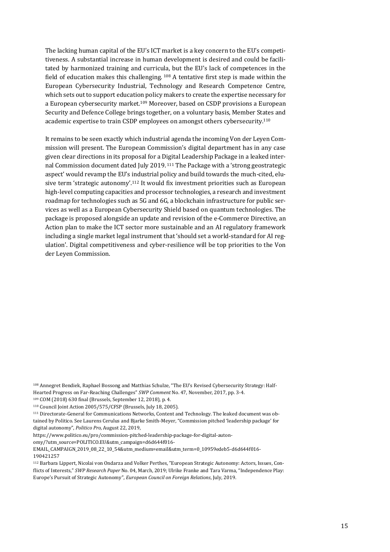The lacking human capital of the EU's ICT market is a key concern to the EU's competitiveness. A substantial increase in human development is desired and could be facilitated by harmonized training and curricula, but the EU's lack of competences in the field of education makes this challenging.  $108$  A tentative first step is made within the European Cybersecurity Industrial, Technology and Research Competence Centre, which sets out to support education policy makers to create the expertise necessary for a European cybersecurity market.<sup>109</sup> Moreover, based on CSDP provisions a European Security and Defence College brings together, on a voluntary basis, Member States and academic expertise to train CSDP employees on amongst others cybersecurity.<sup>110</sup>

It remains to be seen exactly which industrial agenda the incoming Von der Leyen Commission will present. The European Commission's digital department has in any case given clear directions in its proposal for a Digital Leadership Package in a leaked internal Commission document dated July 2019.<sup>111</sup> The Package with a 'strong geostrategic aspect' would revamp the EU's industrial policy and build towards the much-cited, elusive term 'strategic autonomy'.<sup>112</sup> It would fix investment priorities such as European high-level computing capacities and processor technologies, a research and investment roadmap for technologies such as 5G and 6G, a blockchain infrastructure for public services as well as a European Cybersecurity Shield based on quantum technologies. The package is proposed alongside an update and revision of the e-Commerce Directive, an Action plan to make the ICT sector more sustainable and an AI regulatory framework including a single market legal instrument that 'should set a world-standard for AI regulation'. Digital competitiveness and cyber-resilience will be top priorities to the Von der Leyen Commission.

<sup>108</sup> Annegret Bendiek, Raphael Bossong and Matthias Schulze, "The EU's Revised Cybersecurity Strategy: Half-Hearted Progress on Far-Reaching Challenges" *SWP Comment* No. 47, November, 2017, pp. 3-4.

<sup>109</sup> COM (2018) 630 final (Brussels, September 12, 2018), p. 4.

<sup>110</sup> Council Joint Action 2005/575/CFSP (Brussels, July 18, 2005).

<sup>111</sup> Directorate-General for Communications Networks, Content and Technology. The leaked document was obtained by Politico. See Laurens Cerulus and Bjarke Smith-Meyer, "Commission pitched 'leadership package' for digital autonomy", *Politico Pro*, August 22, 2019,

https://www.politico.eu/pro/commission-pitched-leadership-package-for-digital-auton-

omy/?utm\_source=POLITICO.EU&utm\_campaign=d6d644f016-

EMAIL\_CAMPAIGN\_2019\_08\_22\_10\_54&utm\_medium=email&utm\_term=0\_10959edeb5-d6d644f016- 190421257

<sup>112</sup> Barbara Lippert, Nicolai von Ondarza and Volker Perthes, "European Strategic Autonomy: Actors, Issues, Conflicts of Interests," *SWP Research Paper* No. 04, March, 2019; Ulrike Franke and Tara Varma, "Independence Play: Europe's Pursuit of Strategic Autonomy", *European Council on Foreign Relations*, July, 2019.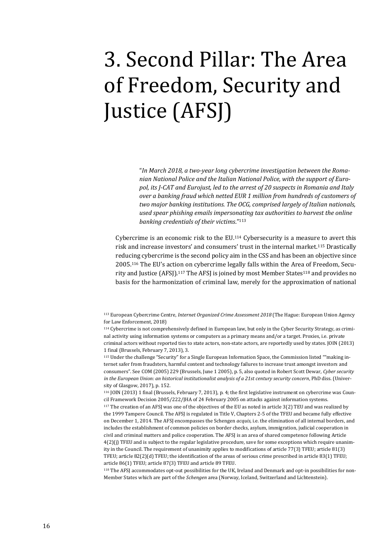# <span id="page-15-0"></span>3. Second Pillar: The Area of Freedom, Security and Justice (AFSJ)

"*In March 2018, a two-year long cybercrime investigation between the Romanian National Police and the Italian National Police, with the support of Europol, its J-CAT and Eurojust, led to the arrest of 20 suspects in Romania and Italy over a banking fraud which netted EUR 1 million from hundreds of customers of two major banking institutions. The OCG, comprised largely of Italian nationals, used spear phishing emails impersonating tax authorities to harvest the online banking credentials of their victims*."<sup>113</sup>

Cybercrime is an economic risk to the EU.<sup>114</sup> Cybersecurity is a measure to avert this risk and increase investors' and consumers' trust in the internal market.<sup>115</sup> Drastically reducing cybercrime is the second policy aim in the CSS and has been an objective since 2005.<sup>116</sup> The EU's action on cybercrime legally falls within the Area of Freedom, Security and Justice (AFSJ).<sup>117</sup> The AFSJ is joined by most Member States<sup>118</sup> and provides no basis for the harmonization of criminal law, merely for the approximation of national

<sup>113</sup> European Cybercrime Centre, *Internet Organized Crime Assessment 2018* (The Hague: European Union Agency for Law Enforcement, 2018)

<sup>115</sup> Under the challenge "Security" for a Single European Information Space, the Commission listed ""making internet safer from fraudsters, harmful content and technology failures to increase trust amongst investors and consumers". See COM (2005) 229 (Brussels, June 1 2005), p. 5, also quoted in Robert Scott Dewar, *Cyber security in the European Union: an historical institutionalist analysis of a 21st century security concern*, PhD diss. (University of Glasgow, 2017), p. 152.

<sup>116</sup> JOIN (2013) 1 final (Brussels, February 7, 2013), p. 4; the first legislative instrument on cybercrime was Council Framework Decision 2005/222/JHA of 24 February 2005 on attacks against information systems.

<sup>117</sup> The creation of an AFSJ was one of the objectives of the EU as noted in article 3(2) TEU and was realized by the 1999 Tampere Council. The AFSJ is regulated in Title V, Chapters 2-5 of the TFEU and became fully effective on December 1, 2014. The AFSJ encompasses the Schengen *acquis*, i.e. the elimination of all internal borders, and includes the establishment of common policies on border checks, asylum, immigration, judicial cooperation in civil and criminal matters and police cooperation. The AFSJ is an area of shared competence following Article 4(2)(j) TFEU and is subject to the regular legislative procedure, save for some exceptions which require unanimity in the Council. The requirement of unanimity applies to modifications of article 77(3) TFEU; article 81(3) TFEU; article 82(2)(d) TFEU; the identification of the areas of serious crime prescribed in article 83(1) TFEU; article 86(1) TFEU; article 87(3) TFEU and article 89 TFEU.

<sup>118</sup> The AFSJ accommodates opt-out possibilities for the UK, Ireland and Denmark and opt-in possibilities for non-Member States which are part of the *Schengen* area (Norway, Iceland, Switzerland and Lichtenstein).

<sup>114</sup> Cybercrime is not comprehensively defined in European law, but only in the Cyber Security Strategy, as criminal activity using information systems or computers as a primary means and/or a target. Proxies, i.e. private criminal actors without reported ties to state actors, non-state actors, are reportedly used by states. JOIN (2013) 1 final (Brussels, February 7, 2013), 3.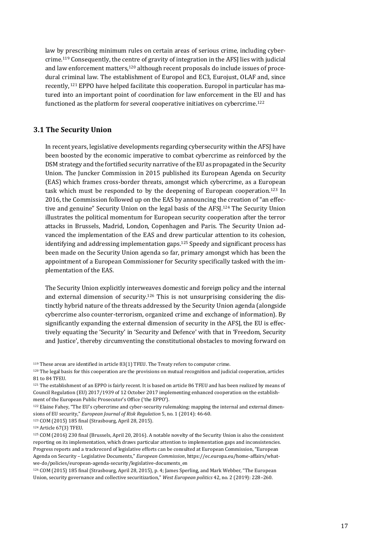law by prescribing minimum rules on certain areas of serious crime, including cybercrime.<sup>119</sup> Consequently, the centre of gravity of integration in the AFSJ lies with judicial and law enforcement matters,<sup>120</sup> although recent proposals do include issues of procedural criminal law. The establishment of Europol and EC3, Eurojust, OLAF and, since recently, <sup>121</sup> EPPO have helped facilitate this cooperation. Europol in particular has matured into an important point of coordination for law enforcement in the EU and has functioned as the platform for several cooperative initiatives on cybercrime.<sup>122</sup>

#### <span id="page-16-0"></span>**3.1 The Security Union**

In recent years, legislative developments regarding cybersecurity within the AFSJ have been boosted by the economic imperative to combat cybercrime as reinforced by the DSM strategy and the fortified security narrative of the EU as propagated in the Security Union. The Juncker Commission in 2015 published its European Agenda on Security (EAS) which frames cross-border threats, amongst which cybercrime, as a European task which must be responded to by the deepening of European cooperation.<sup>123</sup> In 2016, the Commission followed up on the EAS by announcing the creation of "an effective and genuine" Security Union on the legal basis of the AFSJ.<sup>124</sup> The Security Union illustrates the political momentum for European security cooperation after the terror attacks in Brussels, Madrid, London, Copenhagen and Paris. The Security Union advanced the implementation of the EAS and drew particular attention to its cohesion, identifying and addressing implementation gaps.<sup>125</sup> Speedy and significant process has been made on the Security Union agenda so far, primary amongst which has been the appointment of a European Commissioner for Security specifically tasked with the implementation of the EAS.

The Security Union explicitly interweaves domestic and foreign policy and the internal and external dimension of security.<sup>126</sup> This is not unsurprising considering the distinctly hybrid nature of the threats addressed by the Security Union agenda (alongside cybercrime also counter-terrorism, organized crime and exchange of information). By significantly expanding the external dimension of security in the AFSJ, the EU is effectively equating the 'Security' in 'Security and Defence' with that in 'Freedom, Security and Justice', thereby circumventing the constitutional obstacles to moving forward on

 $119$  These areas are identified in article 83(1) TFEU. The Treaty refers to computer crime.

<sup>120</sup> The legal basis for this cooperation are the provisions on mutual recognition and judicial cooperation, articles 81 to 84 TFEU.

<sup>121</sup> The establishment of an EPPO is fairly recent. It is based on article 86 TFEU and has been realized by means of Council Regulation (EU) 2017/1939 of 12 October 2017 implementing enhanced cooperation on the establishment of the European Public Prosecutor's Office ('the EPPO').

<sup>122</sup> Elaine Fahey, "The EU's cybercrime and cyber-security rulemaking: mapping the internal and external dimensions of EU security," *European Journal of Risk Regulation* 5, no. 1 (2014): 46-60.

<sup>123</sup> COM (2015) 185 final (Strasbourg, April 28, 2015).

<sup>124</sup> Article 67(3) TFEU.

<sup>125</sup> COM (2016) 230 final (Brussels, April 20, 2016). A notable novelty of the Security Union is also the consistent reporting on its implementation, which draws particular attention to implementation gaps and inconsistencies. Progress reports and a trackrecord of legislative efforts can be consulted at European Commission, "European Agenda on Security – Legislative Documents," *European Commission*[, https://ec.europa.eu/home-affairs/what](https://ec.europa.eu/home-affairs/what-we-do/policies/european-agenda-security/legislative-documents_en)[we-do/policies/european-agenda-security/legislative-documents\\_en](https://ec.europa.eu/home-affairs/what-we-do/policies/european-agenda-security/legislative-documents_en)

<sup>126</sup> COM (2015) 185 final (Strasbourg, April 28, 2015), p. 4; James Sperling, and Mark Webber, "The European Union, security governance and collective securitization," *West European politics* 42, no. 2 (2019): 228–260.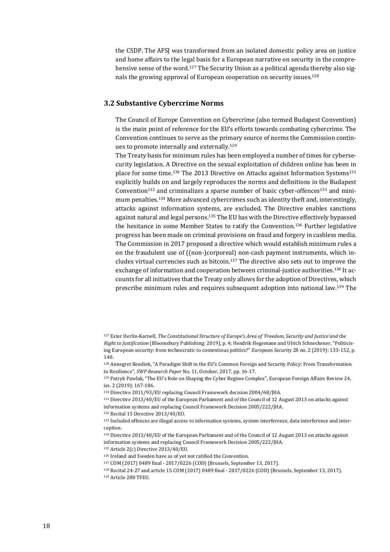the CSDP. The AFSJ was transformed from an isolated domestic policy area on justice and home affairs to the legal basis for a European narrative on security in the comprehensive sense of the word.<sup>127</sup> The Security Union as a political agenda thereby also signals the growing approval of European cooperation on security issues.<sup>128</sup>

#### <span id="page-17-0"></span>**3.2 Substantive Cybercrime Norms**

The Council of Europe Convention on Cybercrime (also termed Budapest Convention) is the main point of reference for the EU's efforts towards combating cybercrime. The Convention continues to serve as the primary source of norms the Commission continues to promote internally and externally.<sup>129</sup>

The Treaty basis for minimum rules has been employed a number of times for cybersecurity legislation. A Directive on the sexual exploitation of children online has been in place for some time.<sup>130</sup> The 2013 Directive on Attacks against Information Systems<sup>131</sup> explicitly builds on and largely reproduces the norms and definitions in the Budapest Convention<sup>132</sup> and criminalizes a sparse number of basic cyber-offences<sup>133</sup> and minimum penalties.<sup>134</sup> More advanced cybercrimes such as identity theft and, interestingly, attacks against information systems, are excluded. The Directive enables sanctions against natural and legal persons.<sup>135</sup> The EU has with the Directive effectively bypassed the hesitance in some Member States to ratify the Convention.<sup>136</sup> Further legislative progress has been made on criminal provisions on fraud and forgery in cashless media. The Commission in 2017 proposed a directive which would establish minimum rules a on the fraudulent use of ((non-)corporeal) non-cash payment instruments, which includes virtual currencies such as bitcoin.<sup>137</sup> The directive also sets out to improve the exchange of information and cooperation between criminal-justice authorities.<sup>138</sup> It accounts for all initiatives that the Treaty only allows for the adoption of Directives, which prescribe minimum rules and requires subsequent adoption into national law.<sup>139</sup> The

<sup>132</sup> Recital 15 Directive 2013/40/EU.

<sup>127</sup> Ester Herlin-Karnell, *The Constitutional Structure of Europe's Area of 'Freedom, Security and Justice'and the Right to Justification* (Bloomsbury Publishing: 2019), p. 4; Hendrik Hegemann and Ulrich Schneckener, "Politicising European security: from technocratic to contentious politics?" *European Security* 28 no. 2 (2019): 133-152, p. 140.

<sup>128</sup> Annegret Bendiek, "A Paradigm Shift in the EU's Common Foreign and Security Policy: From Transformation to Resilience", *SWP Research Paper* No. 11, October, 2017, pp. 16-17.

<sup>129</sup> Patryk Pawlak, "The EU's Role on Shaping the Cyber Regime Complex", European Foreign Affairs Review 24, iss. 2 (2019): 167-186.

<sup>130</sup> Directive 2011/93/EU replacing Council Framework decision 2004/68/JHA.

<sup>131</sup> Directive 2013/40/EU of the European Parliament and of the Council of 12 August 2013 on attacks against information systems and replacing Council Framework Decision 2005/222/JHA.

<sup>133</sup> Included offences are illegal access to information systems, system interference, data interference and interception.

<sup>134</sup> Directive 2013/40/EU of the European Parliament and of the Council of 12 August 2013 on attacks against information systems and replacing Council Framework Decision 2005/222/JHA. <sup>135</sup> Article 2(c) Directive 2013/40/EU.

<sup>136</sup> Ireland and Sweden have as of yet not ratified the Convention.

<sup>137</sup> COM (2017) 0489 final - 2017/0226 (COD) (Brussels, September 13, 2017).

<sup>138</sup> Recital 24-27 and article 15 COM (2017) 0489 final - 2017/0226 (COD) (Brussels, September 13, 2017). <sup>139</sup> Article 288 TFEU.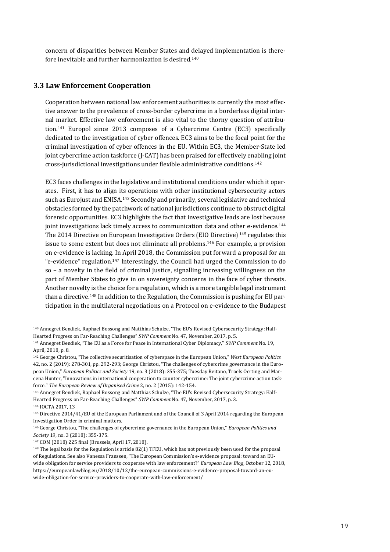concern of disparities between Member States and delayed implementation is therefore inevitable and further harmonization is desired.<sup>140</sup>

#### <span id="page-18-0"></span>**3.3 Law Enforcement Cooperation**

Cooperation between national law enforcement authorities is currently the most effective answer to the prevalence of cross-border cybercrime in a borderless digital internal market. Effective law enforcement is also vital to the thorny question of attribution.<sup>141</sup> Europol since 2013 composes of a Cybercrime Centre (EC3) specifically dedicated to the investigation of cyber offences. EC3 aims to be the focal point for the criminal investigation of cyber offences in the EU. Within EC3, the Member-State led joint cybercrime action taskforce (J-CAT) has been praised for effectively enabling joint cross-jurisdictional investigations under flexible administrative conditions.<sup>142</sup>

EC3 faces challenges in the legislative and institutional conditions under which it operates. First, it has to align its operations with other institutional cybersecurity actors such as Eurojust and ENISA.<sup>143</sup> Secondly and primarily, several legislative and technical obstacles formed by the patchwork of national jurisdictions continue to obstruct digital forensic opportunities. EC3 highlights the fact that investigative leads are lost because joint investigations lack timely access to communication data and other e-evidence.<sup>144</sup> The 2014 Directive on European Investigative Orders (EIO Directive) <sup>145</sup> regulates this issue to some extent but does not eliminate all problems.<sup>146</sup> For example, a provision on e-evidence is lacking. In April 2018, the Commission put forward a proposal for an "e-evidence" regulation.<sup>147</sup> Interestingly, the Council had urged the Commission to do so – a novelty in the field of criminal justice, signalling increasing willingness on the part of Member States to give in on sovereignty concerns in the face of cyber threats. Another novelty is the choice for a regulation, which is a more tangible legal instrument than a directive. <sup>148</sup> In addition to the Regulation, the Commission is pushing for EU participation in the multilateral negotiations on a Protocol on e-evidence to the Budapest

<sup>144</sup> IOCTA 2017, 13

<sup>147</sup> COM (2018) 225 final (Brussels, April 17, 2018).

<sup>140</sup> Annegret Bendiek, Raphael Bossong and Matthias Schulze, "The EU's Revised Cybersecurity Strategy: Half-Hearted Progress on Far-Reaching Challenges" *SWP Comment* No. 47, November, 2017, p. 5.

<sup>141</sup> Annegret Bendiek, "The EU as a Force for Peace in International Cyber Diplomacy," *SWP Comment* No. 19, April, 2018, p. 8.

<sup>142</sup> George Christou, "The collective securitisation of cyberspace in the European Union," *West European Politics* 42, no. 2 (2019): 278-301, pp. 292-293; George Christou, "The challenges of cybercrime governance in the European Union," *European Politics and Society* 19, no. 3 (2018): 355-375; Tuesday Reitano, Troels Oerting and Marcena Hunter, "Innovations in international cooperation to counter cybercrime: The joint cybercrime action taskforce." *The European Review of Organised Crime* 2, no. 2 (2015): 142-154.

<sup>143</sup> Annegret Bendiek, Raphael Bossong and Matthias Schulze, "The EU's Revised Cybersecurity Strategy: Half-Hearted Progress on Far-Reaching Challenges" *SWP Comment* No. 47, November, 2017, p. 3.

<sup>145</sup> Directive 2014/41/EU of the European Parliament and of the Council of 3 April 2014 regarding the European Investigation Order in criminal matters.

<sup>146</sup> George Christou, "The challenges of cybercrime governance in the European Union," *European Politics and Society* 19, no. 3 (2018): 355-375.

<sup>148</sup> The legal basis for the Regulation is article 82(1) TFEU, which has not previously been used for the proposal of Regulations. See also Vanessa Franssen, "The European Commission's e-evidence proposal: toward an EUwide obligation for service providers to cooperate with law enforcement?" *European Law Blog*, October 12, 2018, [https://europeanlawblog.eu/2018/10/12/the-european-commissions-e-evidence-proposal-toward-an-eu](https://europeanlawblog.eu/2018/10/12/the-european-commissions-e-evidence-proposal-toward-an-eu-wide-obligation-for-service-providers-to-cooperate-with-law-enforcement/)[wide-obligation-for-service-providers-to-cooperate-with-law-enforcement/](https://europeanlawblog.eu/2018/10/12/the-european-commissions-e-evidence-proposal-toward-an-eu-wide-obligation-for-service-providers-to-cooperate-with-law-enforcement/)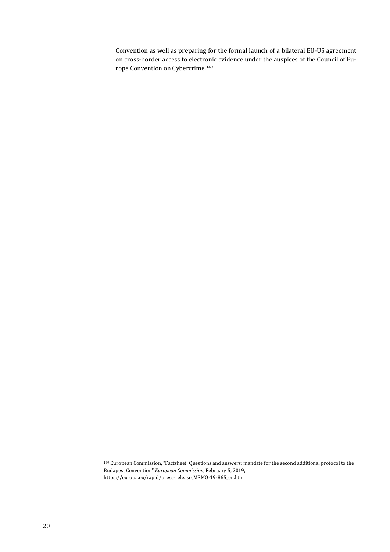Convention as well as preparing for the formal launch of a bilateral EU-US agreement on cross-border access to electronic evidence under the auspices of the Council of Europe Convention on Cybercrime.<sup>149</sup>

<sup>149</sup> European Commission, "Factsheet: Questions and answers: mandate for the second additional protocol to the Budapest Convention" *European Commission*, February 5, 2019, [https://europa.eu/rapid/press-release\\_MEMO-19-865\\_en.htm](https://europa.eu/rapid/press-release_MEMO-19-865_en.htm)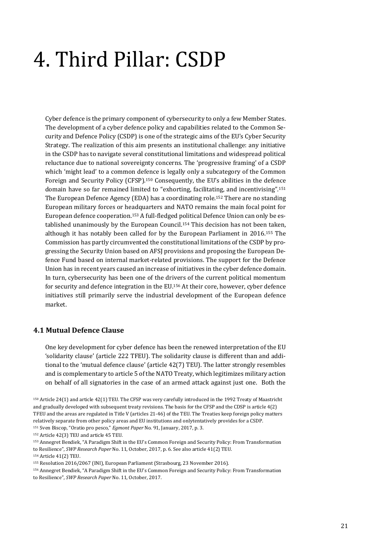# <span id="page-20-0"></span>4. Third Pillar: CSDP

Cyber defence is the primary component of cybersecurity to only a few Member States. The development of a cyber defence policy and capabilities related to the Common Security and Defence Policy (CSDP) is one of the strategic aims of the EU's Cyber Security Strategy. The realization of this aim presents an institutional challenge: any initiative in the CSDP has to navigate several constitutional limitations and widespread political reluctance due to national sovereignty concerns. The 'progressive framing' of a CSDP which 'might lead' to a common defence is legally only a subcategory of the Common Foreign and Security Policy (CFSP).<sup>150</sup> Consequently, the EU's abilities in the defence domain have so far remained limited to "exhorting, facilitating, and incentivising".<sup>151</sup> The European Defence Agency (EDA) has a coordinating role.<sup>152</sup> There are no standing European military forces or headquarters and NATO remains the main focal point for European defence cooperation.<sup>153</sup> A full-fledged political Defence Union can only be established unanimously by the European Council.<sup>154</sup> This decision has not been taken, although it has notably been called for by the European Parliament in 2016.<sup>155</sup> The Commission has partly circumvented the constitutional limitations of the CSDP by progressing the Security Union based on AFSJ provisions and proposing the European Defence Fund based on internal market-related provisions. The support for the Defence Union has in recent years caused an increase of initiatives in the cyber defence domain. In turn, cybersecurity has been one of the drivers of the current political momentum for security and defence integration in the EU.<sup>156</sup> At their core, however, cyber defence initiatives still primarily serve the industrial development of the European defence market.

#### <span id="page-20-1"></span>**4.1 Mutual Defence Clause**

One key development for cyber defence has been the renewed interpretation of the EU 'solidarity clause' (article 222 TFEU). The solidarity clause is different than and additional to the 'mutual defence clause' (article 42(7) TEU). The latter strongly resembles and is complementary to article 5 of the NATO Treaty, which legitimizes military action on behalf of all signatories in the case of an armed attack against just one. Both the

<sup>150</sup> Article 24(1) and article 42(1) TEU. The CFSP was very carefully introduced in the 1992 Treaty of Maastricht and gradually developed with subsequent treaty revisions. The basis for the CFSP and the CDSP is article 4(2) TFEU and the areas are regulated in Title V (articles 21-46) of the TEU. The Treaties keep foreign policy matters relatively separate from other policy areas and EU institutions and onlytentatively provides for a CSDP. <sup>151</sup> Sven Biscop, "Oratio pro pesco," *Egmont Paper* No. 91, January, 2017, p. 3.

<sup>152</sup> Article 42(3) TEU and article 45 TEU.

<sup>153</sup> Annegret Bendiek, "A Paradigm Shift in the EU's Common Foreign and Security Policy: From Transformation

to Resilience", *SWP Research Paper* No. 11, October, 2017, p. 6. See also article 41(2) TEU.

<sup>154</sup> Article 41(2) TEU.

<sup>156</sup> Annegret Bendiek, "A Paradigm Shift in the EU's Common Foreign and Security Policy: From Transformation to Resilience", *SWP Research Paper* No. 11, October, 2017.

<sup>155</sup> Resolution 2016/2067 (INI), European Parliament (Strasbourg, 23 November 2016).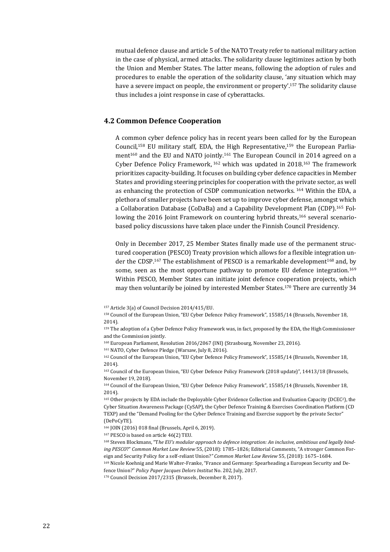mutual defence clause and article 5 of the NATO Treaty refer to national military action in the case of physical, armed attacks. The solidarity clause legitimizes action by both the Union and Member States. The latter means, following the adoption of rules and procedures to enable the operation of the solidarity clause, 'any situation which may have a severe impact on people, the environment or property'.<sup>157</sup> The solidarity clause thus includes a joint response in case of cyberattacks.

#### <span id="page-21-0"></span>**4.2 Common Defence Cooperation**

A common cyber defence policy has in recent years been called for by the European Council,<sup>158</sup> EU military staff, EDA, the High Representative,<sup>159</sup> the European Parliament<sup>160</sup> and the EU and NATO jointly.<sup>161</sup> The European Council in 2014 agreed on a Cyber Defence Policy Framework, <sup>162</sup> which was updated in 2018.<sup>163</sup> The framework prioritizes capacity-building. It focuses on building cyber defence capacities in Member States and providing steering principles for cooperation with the private sector, as well as enhancing the protection of CSDP communication networks. <sup>164</sup> Within the EDA, a plethora of smaller projects have been set up to improve cyber defense, amongst which a Collaboration Database (CoDaBa) and a Capability Development Plan (CDP).<sup>165</sup> Following the 2016 Joint Framework on countering hybrid threats,<sup>166</sup> several scenariobased policy discussions have taken place under the Finnish Council Presidency.

Only in December 2017, 25 Member States finally made use of the permanent structured cooperation (PESCO) Treaty provision which allows for a flexible integration under the CDSP.<sup>167</sup> The establishment of PESCO is a remarkable development<sup>168</sup> and, by some, seen as the most opportune pathway to promote EU defence integration.<sup>169</sup> Within PESCO, Member States can initiate joint defence cooperation projects, which may then voluntarily be joined by interested Member States. <sup>170</sup> There are currently 34

<sup>162</sup> Council of the European Union, "EU Cyber Defence Policy Framework", 15585/14 (Brussels, November 18, 2014).

<sup>163</sup> Council of the European Union, "EU Cyber Defence Policy Framework (2018 update)", 14413/18 (Brussels, November 19, 2018).

<sup>164</sup> Council of the European Union, "EU Cyber Defence Policy Framework", 15585/14 (Brussels, November 18, 2014).

<sup>165</sup> Other projects by EDA include the Deployable Cyber Evidence Collection and Evaluation Capacity (DCEC2), the Cyber Situation Awareness Package (CySAP), the Cyber Defence Training & Exercises Coordination Platform (CD TEXP) and the "Demand Pooling for the Cyber Defence Training and Exercise support by the private Sector" (DePoCyTE).

<sup>166</sup> JOIN (2016) 018 final (Brussels, April 6, 2019).

<sup>167</sup> PESCO is based on article 46(2) TEU.

<sup>168</sup> Steven Blockmans, "T*he EU's modular approach to defence integration: An inclusive, ambitious and legally binding PESCO*?" *Common Market Law Review* 55, (2018): 1785–1826; Editorial Comments, "A stronger Common Foreign and Security Policy for a self-reliant Union?*" Common Market Law Review* 55, (2018): 1675–1684.

<sup>169</sup> Nicole Koehnig and Marie Walter-Franke, "France and Germany: Spearheading a European Security and Defence Union?" *Policy Paper Jacques Delors Institut* No. 202, July, 2017.

<sup>170</sup> Council Decision 2017/2315 (Brussels, December 8, 2017).

<sup>157</sup> Article 3(a) of Council Decision 2014/415/EU.

<sup>158</sup> Council of the European Union, "EU Cyber Defence Policy Framework", 15585/14 (Brussels, November 18, 2014).

<sup>159</sup> The adoption of a Cyber Defence Policy Framework was, in fact, proposed by the EDA, the High Commissioner and the Commission jointly.

<sup>160</sup> European Parliament, Resolution 2016/2067 (INI) (Strasbourg, November 23, 2016).

<sup>161</sup> NATO, Cyber Defence Pledge (Warsaw, July 8, 2016).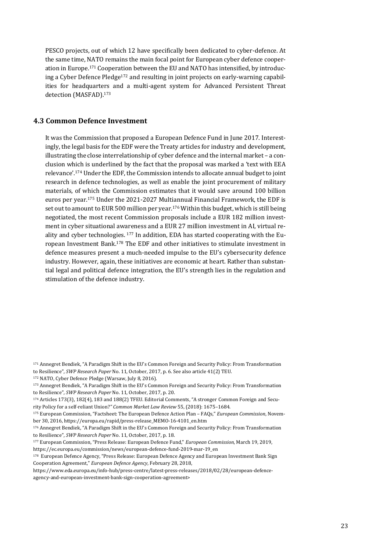PESCO projects, out of which 12 have specifically been dedicated to cyber-defence. At the same time, NATO remains the main focal point for European cyber defence cooperation in Europe.<sup>171</sup> Cooperation between the EU and NATO has intensified, by introducing a Cyber Defence Pledge<sup>172</sup> and resulting in joint projects on early-warning capabilities for headquarters and a multi-agent system for Advanced Persistent Threat detection (MASFAD).<sup>173</sup>

#### <span id="page-22-0"></span>**4.3 Common Defence Investment**

It was the Commission that proposed a European Defence Fund in June 2017. Interestingly, the legal basis for the EDF were the Treaty articles for industry and development, illustrating the close interrelationship of cyber defence and the internal market – a conclusion which is underlined by the fact that the proposal was marked a 'text with EEA relevance'.<sup>174</sup> Under the EDF, the Commission intends to allocate annual budget to joint research in defence technologies, as well as enable the joint procurement of military materials, of which the Commission estimates that it would save around 100 billion euros per year.<sup>175</sup> Under the 2021-2027 Multiannual Financial Framework, the EDF is set out to amount to EUR 500 million per year.<sup>176</sup> Within this budget, which is still being negotiated, the most recent Commission proposals include a EUR 182 million investment in cyber situational awareness and a EUR 27 million investment in AI, virtual reality and cyber technologies. <sup>177</sup> In addition, EDA has started cooperating with the European Investment Bank.<sup>178</sup> The EDF and other initiatives to stimulate investment in defence measures present a much-needed impulse to the EU's cybersecurity defence industry. However, again, these initiatives are economic at heart. Rather than substantial legal and political defence integration, the EU's strength lies in the regulation and stimulation of the defence industry.

<sup>171</sup> Annegret Bendiek, "A Paradigm Shift in the EU's Common Foreign and Security Policy: From Transformation to Resilience", *SWP Research Paper* No. 11, October, 2017, p. 6. See also article 41(2) TEU.

<sup>172</sup> NATO, Cyber Defence Pledge (Warsaw, July 8, 2016).

<sup>173</sup> Annegret Bendiek, "A Paradigm Shift in the EU's Common Foreign and Security Policy: From Transformation to Resilience", *SWP Research Paper* No. 11, October, 2017, p. 20.

<sup>174</sup> Articles 173(3), 182(4), 183 and 188(2) TFEU. Editorial Comments, "A stronger Common Foreign and Security Policy for a self-reliant Union?*" Common Market Law Review* 55, (2018): 1675–1684.

<sup>175</sup> European Commission, "Factsheet: The European Defence Action Plan – FAQs," *European Commission*, November 30, 2016, [https://europa.eu/rapid/press-release\\_MEMO-16-4101\\_en.htm](https://europa.eu/rapid/press-release_MEMO-16-4101_en.htm)

<sup>176</sup> Annegret Bendiek, "A Paradigm Shift in the EU's Common Foreign and Security Policy: From Transformation to Resilience", *SWP Research Paper* No. 11, October, 2017, p. 18.

<sup>177</sup> European Commission, "Press Release: European Defence Fund," *European Commission*, March 19, 2019, [https://ec.europa.eu/commission/news/european-defence-fund-2019-mar-19\\_en](https://ec.europa.eu/commission/news/european-defence-fund-2019-mar-19_en)

<sup>&</sup>lt;sup>178</sup> European Defence Agency, "Press Release: European Defence Agency and European Investment Bank Sign Cooperation Agreement," *European Defence Agency*, February 28, 2018,

[https://www.eda.europa.eu/info-hub/press-centre/latest-press-releases/2018/02/28/european-defence](https://www.eda.europa.eu/info-hub/press-centre/latest-press-releases/2018/02/28/european-defence-agency-and-european-investment-bank-sign-cooperation-agreement)[agency-and-european-investment-bank-sign-cooperation-agreement>](https://www.eda.europa.eu/info-hub/press-centre/latest-press-releases/2018/02/28/european-defence-agency-and-european-investment-bank-sign-cooperation-agreement)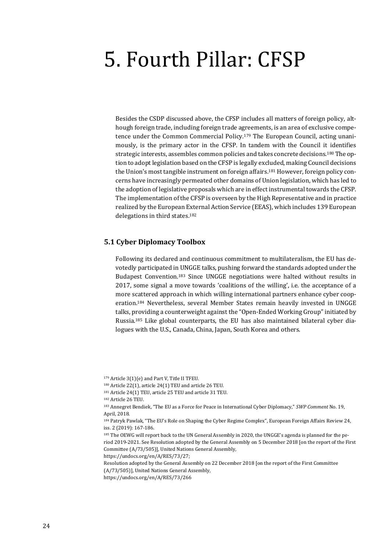### <span id="page-23-0"></span>5. Fourth Pillar: CFSP

Besides the CSDP discussed above, the CFSP includes all matters of foreign policy, although foreign trade, including foreign trade agreements, is an area of exclusive competence under the Common Commercial Policy.<sup>179</sup> The European Council, acting unanimously, is the primary actor in the CFSP. In tandem with the Council it identifies strategic interests, assembles common policies and takes concrete decisions.<sup>180</sup> The option to adopt legislation based on the CFSP is legally excluded, making Council decisions the Union's most tangible instrument on foreign affairs.<sup>181</sup> However, foreign policy concerns have increasingly permeated other domains of Union legislation, which has led to the adoption of legislative proposals which are in effect instrumental towards the CFSP. The implementation of the CFSP is overseen by the High Representative and in practice realized by the European External Action Service (EEAS), which includes 139 European delegations in third states.<sup>182</sup>

#### <span id="page-23-1"></span>**5.1 Cyber Diplomacy Toolbox**

Following its declared and continuous commitment to multilateralism, the EU has devotedly participated in UNGGE talks, pushing forward the standards adopted under the Budapest Convention.<sup>183</sup> Since UNGGE negotiations were halted without results in 2017, some signal a move towards 'coalitions of the willing', i.e. the acceptance of a more scattered approach in which willing international partners enhance cyber cooperation.<sup>184</sup> Nevertheless, several Member States remain heavily invested in UNGGE talks, providing a counterweight against the "Open-Ended Working Group" initiated by Russia.<sup>185</sup> Like global counterparts, the EU has also maintained bilateral cyber dialogues with the U.S., Canada, China, Japan, South Korea and others.

[https://undocs.org/en/A/RES/73/27;](https://undocs.org/en/A/RES/73/27) 

Resolution adopted by the General Assembly on 22 December 2018 [on the report of the First Committee (A/73/505)], United Nations General Assembly,

<https://undocs.org/en/A/RES/73/266>

<sup>179</sup> Article 3(1)(e) and Part V, Title II TFEU.

<sup>180</sup> Article 22(1), article 24(1) TEU and article 26 TEU.

<sup>181</sup> Article 24(1) TEU, article 25 TEU and article 31 TEU.

<sup>182</sup> Article 26 TEU.

<sup>183</sup> Annegret Bendiek, "The EU as a Force for Peace in International Cyber Diplomacy," *SWP Comment* No. 19, April, 2018.

<sup>184</sup> Patryk Pawlak, "The EU's Role on Shaping the Cyber Regime Complex", European Foreign Affairs Review 24, iss. 2 (2019): 167-186.

<sup>185</sup> The OEWG will report back to the UN General Assembly in 2020, the UNGGE's agenda is planned for the period 2019-2021. See Resolution adopted by the General Assembly on 5 December 2018 [on the report of the First Committee (A/73/505)], United Nations General Assembly,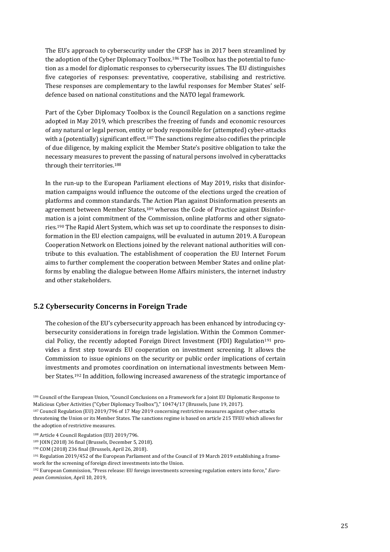The EU's approach to cybersecurity under the CFSP has in 2017 been streamlined by the adoption of the Cyber Diplomacy Toolbox.<sup>186</sup> The Toolbox has the potential to function as a model for diplomatic responses to cybersecurity issues. The EU distinguishes five categories of responses: preventative, cooperative, stabilising and restrictive. These responses are complementary to the lawful responses for Member States' selfdefence based on national constitutions and the NATO legal framework.

Part of the Cyber Diplomacy Toolbox is the Council Regulation on a sanctions regime adopted in May 2019, which prescribes the freezing of funds and economic resources of any natural or legal person, entity or body responsible for (attempted) cyber-attacks with a (potentially) significant effect.<sup>187</sup> The sanctions regime also codifies the principle of due diligence, by making explicit the Member State's positive obligation to take the necessary measures to prevent the passing of natural persons involved in cyberattacks through their territories.<sup>188</sup>

In the run-up to the European Parliament elections of May 2019, risks that disinformation campaigns would influence the outcome of the elections urged the creation of platforms and common standards. The Action Plan against Disinformation presents an agreement between Member States,<sup>189</sup> whereas the Code of Practice against Disinformation is a joint commitment of the Commission, online platforms and other signatories.<sup>190</sup> The Rapid Alert System, which was set up to coordinate the responses to disinformation in the EU election campaigns, will be evaluated in autumn 2019. A European Cooperation Network on Elections joined by the relevant national authorities will contribute to this evaluation. The establishment of cooperation the EU Internet Forum aims to further complement the cooperation between Member States and online platforms by enabling the dialogue between Home Affairs ministers, the internet industry and other stakeholders.

#### <span id="page-24-0"></span>**5.2 Cybersecurity Concerns in Foreign Trade**

The cohesion of the EU's cybersecurity approach has been enhanced by introducing cybersecurity considerations in foreign trade legislation. Within the Common Commercial Policy, the recently adopted Foreign Direct Investment (FDI) Regulation<sup>191</sup> provides a first step towards EU cooperation on investment screening. It allows the Commission to issue opinions on the security or public order implications of certain investments and promotes coordination on international investments between Member States.<sup>192</sup> In addition, following increased awareness of the strategic importance of

<sup>186</sup> Council of the European Union, "Council Conclusions on a Framework for a Joint EU Diplomatic Response to Malicious Cyber Activities ("Cyber Diplomacy Toolbox")," 10474/17 (Brussels, June 19, 2017).

<sup>187</sup> Council Regulation (EU) 2019/796 of 17 May 2019 concerning restrictive measures against cyber-attacks threatening the Union or its Member States. The sanctions regime is based on article 215 TFEU which allows for the adoption of restrictive measures.

<sup>188</sup> Article 4 Council Regulation (EU) 2019/796.

<sup>189</sup> JOIN (2018) 36 final (Brussels, December 5, 2018).

<sup>190</sup> COM (2018) 236 final (Brussels, April 26, 2018).

<sup>191</sup> Regulation 2019/452 of the European Parliament and of the Council of 19 March 2019 establishing a framework for the screening of foreign direct investments into the Union.

<sup>192</sup> European Commission, "Press release: EU foreign investments screening regulation enters into force," *European Commission*, April 10, 2019,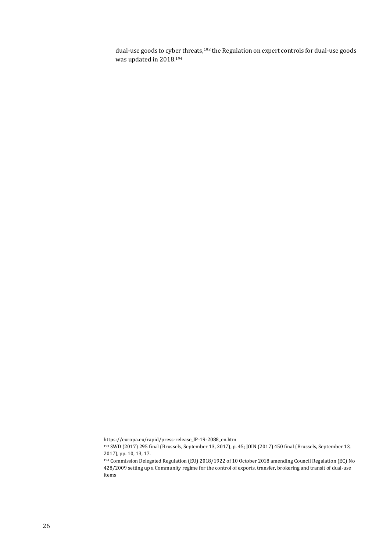dual-use goods to cyber threats,<sup>193</sup> the Regulation on expert controls for dual-use goods was updated in 2018.<sup>194</sup>

[https://europa.eu/rapid/press-release\\_IP-19-2088\\_en.htm](https://europa.eu/rapid/press-release_IP-19-2088_en.htm)

<sup>193</sup> SWD (2017) 295 final (Brussels, September 13, 2017), p. 45; JOIN (2017) 450 final (Brussels, September 13, 2017), pp. 10, 13, 17.

<sup>194</sup> Commission Delegated Regulation (EU) 2018/1922 of 10 October 2018 amending Council Regulation (EC) No 428/2009 setting up a Community regime for the control of exports, transfer, brokering and transit of dual-use items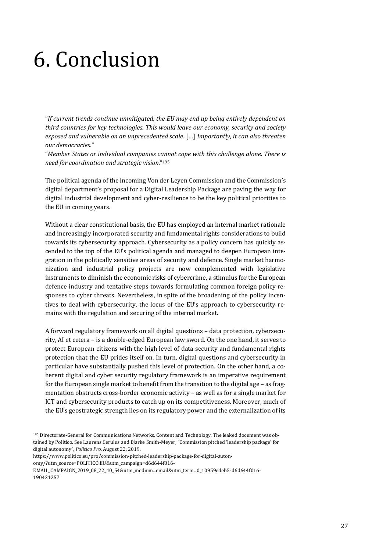## <span id="page-26-0"></span>6. Conclusion

"*If current trends continue unmitigated, the EU may end up being entirely dependent on third countries for key technologies. This would leave our economy, security and society exposed and vulnerable on an unprecedented scale*. […] *Importantly, it can also threaten our democracies*."

"*Member States or individual companies cannot cope with this challenge alone. There is need for coordination and strategic vision.*" 195

The political agenda of the incoming Von der Leyen Commission and the Commission's digital department's proposal for a Digital Leadership Package are paving the way for digital industrial development and cyber-resilience to be the key political priorities to the EU in coming years.

Without a clear constitutional basis, the EU has employed an internal market rationale and increasingly incorporated security and fundamental rights considerations to build towards its cybersecurity approach. Cybersecurity as a policy concern has quickly ascended to the top of the EU's political agenda and managed to deepen European integration in the politically sensitive areas of security and defence. Single market harmonization and industrial policy projects are now complemented with legislative instruments to diminish the economic risks of cybercrime, a stimulus for the European defence industry and tentative steps towards formulating common foreign policy responses to cyber threats. Nevertheless, in spite of the broadening of the policy incentives to deal with cybersecurity, the locus of the EU's approach to cybersecurity remains with the regulation and securing of the internal market.

A forward regulatory framework on all digital questions – data protection, cybersecurity, AI et cetera – is a double-edged European law sword. On the one hand, it serves to protect European citizens with the high level of data security and fundamental rights protection that the EU prides itself on. In turn, digital questions and cybersecurity in particular have substantially pushed this level of protection. On the other hand, a coherent digital and cyber security regulatory framework is an imperative requirement for the European single market to benefit from the transition to the digital age – as fragmentation obstructs cross-border economic activity – as well as for a single market for ICT and cybersecurity products to catch up on its competitiveness. Moreover, much of the EU's geostrategic strength lies on its regulatory power and the externalization of its

https://www.politico.eu/pro/commission-pitched-leadership-package-for-digital-auton-

omy/?utm\_source=POLITICO.EU&utm\_campaign=d6d644f016-

EMAIL\_CAMPAIGN\_2019\_08\_22\_10\_54&utm\_medium=email&utm\_term=0\_10959edeb5-d6d644f016- 190421257

<sup>195</sup> Directorate-General for Communications Networks, Content and Technology. The leaked document was obtained by Politico. See Laurens Cerulus and Bjarke Smith-Meyer, "Commission pitched 'leadership package' for digital autonomy", *Politico Pro*, August 22, 2019,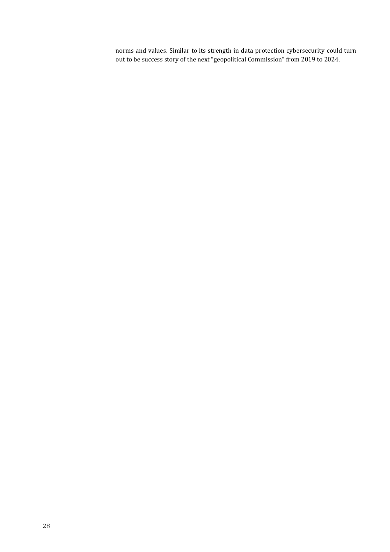norms and values. Similar to its strength in data protection cybersecurity could turn out to be success story of the next "geopolitical Commission" from 2019 to 2024.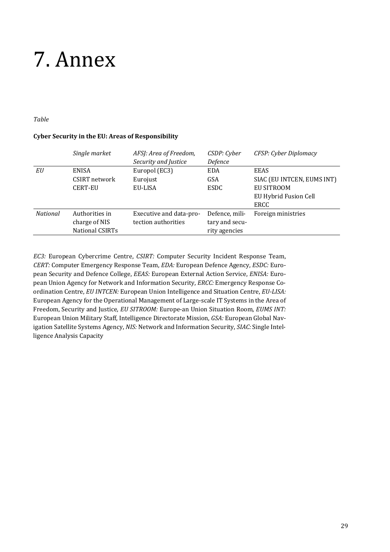### <span id="page-28-0"></span>7. Annex

#### *Table*

#### **Cyber Security in the EU: Areas of Responsibility**

|                 | Single market   | AFSJ: Area of Freedom,  | CSDP: Cyber    | CFSP: Cyber Diplomacy      |
|-----------------|-----------------|-------------------------|----------------|----------------------------|
|                 |                 | Security and Justice    | Defence        |                            |
| EU              | <b>ENISA</b>    | Europol (EC3)           | <b>EDA</b>     | EEAS                       |
|                 | CSIRT network   | Eurojust                | GSA            | SIAC (EU INTCEN, EUMS INT) |
|                 | <b>CERT-EU</b>  | EU-LISA                 | <b>ESDC</b>    | EU SITROOM                 |
|                 |                 |                         |                | EU Hybrid Fusion Cell      |
|                 |                 |                         |                | ERCC                       |
| <b>National</b> | Authorities in  | Executive and data-pro- | Defence, mili- | Foreign ministries         |
|                 | charge of NIS   | tection authorities     | tary and secu- |                            |
|                 | National CSIRTs |                         | rity agencies  |                            |

*EC3:* European Cybercrime Centre, *CSIRT:* Computer Security Incident Response Team, *CERT:* Computer Emergency Response Team, *EDA:* European Defence Agency, *ESDC:* European Security and Defence College, *EEAS:* European External Action Service, *ENISA:* European Union Agency for Network and Information Security, *ERCC:* Emergency Response Coordination Centre, *EU INTCEN:* European Union Intelligence and Situation Centre, *EU-LISA:* European Agency for the Operational Management of Large-scale IT Systems in the Area of Freedom, Security and Justice, *EU SITROOM:* Europe-an Union Situation Room, *EUMS INT:* European Union Military Staff, Intelligence Directorate Mission, *GSA:* European Global Navigation Satellite Systems Agency, *NIS:* Network and Information Security, *SIAC:* Single Intelligence Analysis Capacity